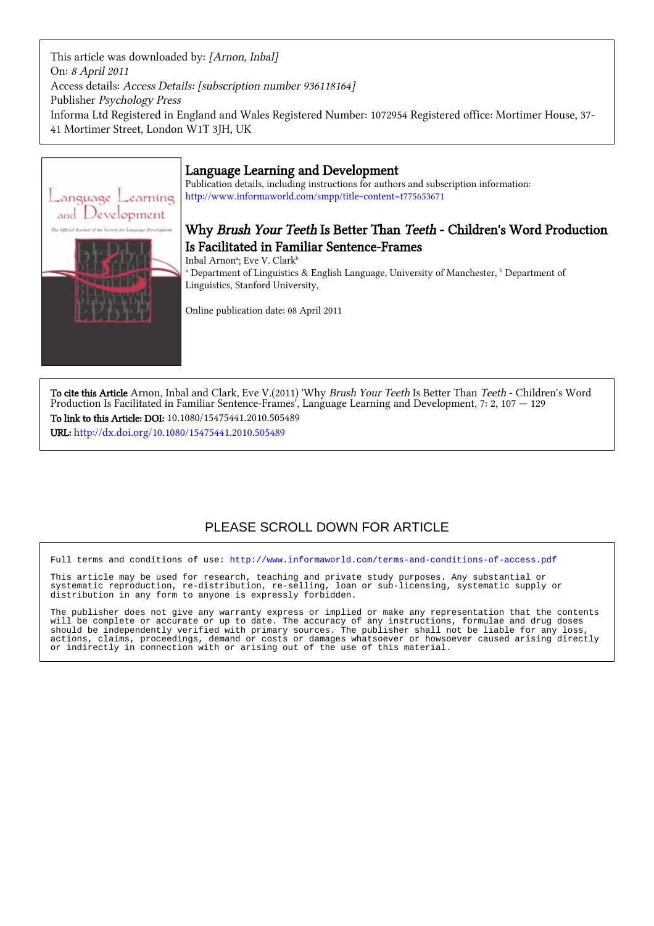This article was downloaded by: [Arnon, Inbal] On: 8 April 2011 Access details: Access Details: [subscription number 936118164] Publisher Psychology Press Informa Ltd Registered in England and Wales Registered Number: 1072954 Registered office: Mortimer House, 37- 41 Mortimer Street, London W1T 3JH, UK



## Language Learning and Development

Publication details, including instructions for authors and subscription information: <http://www.informaworld.com/smpp/title~content=t775653671>

# Why Brush Your Teeth Is Better Than Teeth - Children's Word Production Is Facilitated in Familiar Sentence-Frames

Inbal Arnon<sup>a</sup>; Eve V. Clark<sup>b</sup>

<sup>a</sup> Department of Linguistics & English Language, University of Manchester, <sup>b</sup> Department of Linguistics, Stanford University,

Online publication date: 08 April 2011

To cite this Article Arnon, Inbal and Clark, Eve V.(2011) 'Why Brush Your Teeth Is Better Than Teeth - Children's Word Production Is Facilitated in Familiar Sentence-Frames', Language Learning and Development, 7: 2, 107 — 129 To link to this Article: DOI: 10.1080/15475441.2010.505489

URL: <http://dx.doi.org/10.1080/15475441.2010.505489>

# PLEASE SCROLL DOWN FOR ARTICLE

Full terms and conditions of use:<http://www.informaworld.com/terms-and-conditions-of-access.pdf>

This article may be used for research, teaching and private study purposes. Any substantial or systematic reproduction, re-distribution, re-selling, loan or sub-licensing, systematic supply or distribution in any form to anyone is expressly forbidden.

The publisher does not give any warranty express or implied or make any representation that the contents will be complete or accurate or up to date. The accuracy of any instructions, formulae and drug doses should be independently verified with primary sources. The publisher shall not be liable for any loss, actions, claims, proceedings, demand or costs or damages whatsoever or howsoever caused arising directly or indirectly in connection with or arising out of the use of this material.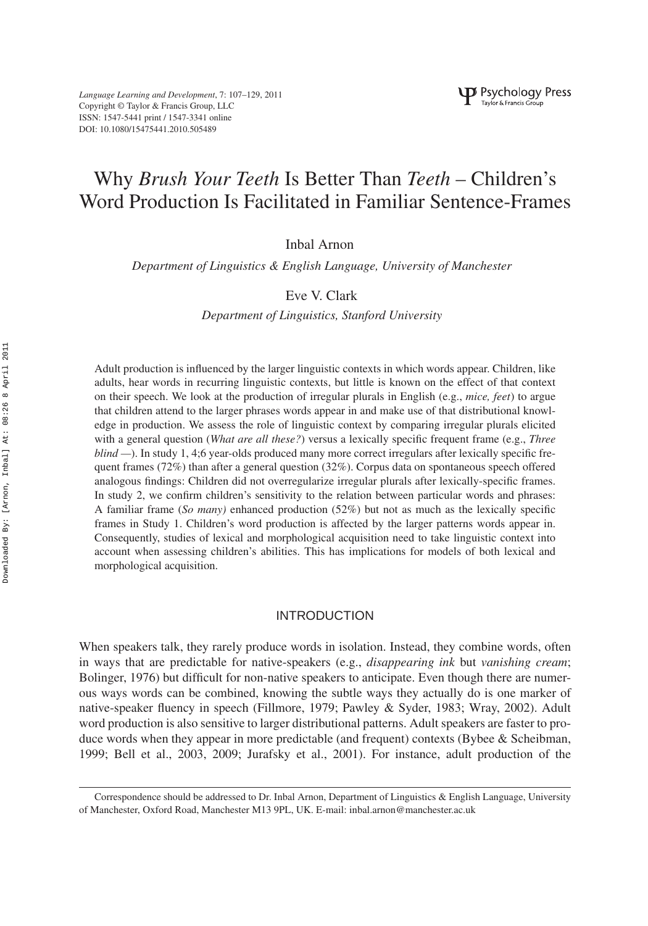*Language Learning and Development*, 7: 107–129, 2011 Copyright © Taylor & Francis Group, LLC ISSN: 1547-5441 print / 1547-3341 online DOI: 10.1080/15475441.2010.505489

# Why *Brush Your Teeth* Is Better Than *Teeth* – Children's Word Production Is Facilitated in Familiar Sentence-Frames

Inbal Arnon

*Department of Linguistics & English Language, University of Manchester*

## Eve V. Clark

*Department of Linguistics, Stanford University*

Adult production is influenced by the larger linguistic contexts in which words appear. Children, like adults, hear words in recurring linguistic contexts, but little is known on the effect of that context on their speech. We look at the production of irregular plurals in English (e.g., *mice, feet*) to argue that children attend to the larger phrases words appear in and make use of that distributional knowledge in production. We assess the role of linguistic context by comparing irregular plurals elicited with a general question (*What are all these?*) versus a lexically specific frequent frame (e.g., *Three blind* —). In study 1, 4;6 year-olds produced many more correct irregulars after lexically specific frequent frames (72%) than after a general question (32%). Corpus data on spontaneous speech offered analogous findings: Children did not overregularize irregular plurals after lexically-specific frames. In study 2, we confirm children's sensitivity to the relation between particular words and phrases: A familiar frame (*So many)* enhanced production (52%) but not as much as the lexically specific frames in Study 1. Children's word production is affected by the larger patterns words appear in. Consequently, studies of lexical and morphological acquisition need to take linguistic context into account when assessing children's abilities. This has implications for models of both lexical and morphological acquisition.

## INTRODUCTION

When speakers talk, they rarely produce words in isolation. Instead, they combine words, often in ways that are predictable for native-speakers (e.g., *disappearing ink* but *vanishing cream*; Bolinger, 1976) but difficult for non-native speakers to anticipate. Even though there are numerous ways words can be combined, knowing the subtle ways they actually do is one marker of native-speaker fluency in speech (Fillmore, 1979; Pawley & Syder, 1983; Wray, 2002). Adult word production is also sensitive to larger distributional patterns. Adult speakers are faster to produce words when they appear in more predictable (and frequent) contexts (Bybee & Scheibman, 1999; Bell et al., 2003, 2009; Jurafsky et al., 2001). For instance, adult production of the

Correspondence should be addressed to Dr. Inbal Arnon, Department of Linguistics & English Language, University of Manchester, Oxford Road, Manchester M13 9PL, UK. E-mail: inbal.arnon@manchester.ac.uk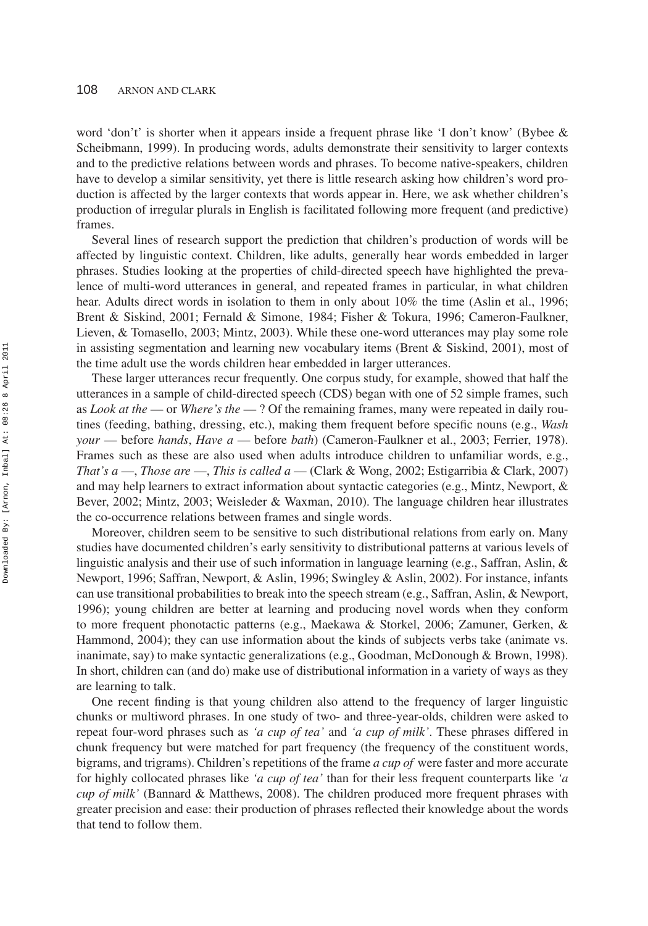word 'don't' is shorter when it appears inside a frequent phrase like 'I don't know' (Bybee & Scheibmann, 1999). In producing words, adults demonstrate their sensitivity to larger contexts and to the predictive relations between words and phrases. To become native-speakers, children have to develop a similar sensitivity, yet there is little research asking how children's word production is affected by the larger contexts that words appear in. Here, we ask whether children's production of irregular plurals in English is facilitated following more frequent (and predictive) frames.

Several lines of research support the prediction that children's production of words will be affected by linguistic context. Children, like adults, generally hear words embedded in larger phrases. Studies looking at the properties of child-directed speech have highlighted the prevalence of multi-word utterances in general, and repeated frames in particular, in what children hear. Adults direct words in isolation to them in only about 10% the time (Aslin et al., 1996; Brent & Siskind, 2001; Fernald & Simone, 1984; Fisher & Tokura, 1996; Cameron-Faulkner, Lieven, & Tomasello, 2003; Mintz, 2003). While these one-word utterances may play some role in assisting segmentation and learning new vocabulary items (Brent & Siskind, 2001), most of the time adult use the words children hear embedded in larger utterances.

These larger utterances recur frequently. One corpus study, for example, showed that half the utterances in a sample of child-directed speech (CDS) began with one of 52 simple frames, such as *Look at the* — or *Where's the* — ? Of the remaining frames, many were repeated in daily routines (feeding, bathing, dressing, etc.), making them frequent before specific nouns (e.g., *Wash your* — before *hands*, *Have a* — before *bath*) (Cameron-Faulkner et al., 2003; Ferrier, 1978). Frames such as these are also used when adults introduce children to unfamiliar words, e.g., *That's a* —, *Those are* —, *This is called a* — (Clark & Wong, 2002; Estigarribia & Clark, 2007) and may help learners to extract information about syntactic categories (e.g., Mintz, Newport, & Bever, 2002; Mintz, 2003; Weisleder & Waxman, 2010). The language children hear illustrates the co-occurrence relations between frames and single words.

Moreover, children seem to be sensitive to such distributional relations from early on. Many studies have documented children's early sensitivity to distributional patterns at various levels of linguistic analysis and their use of such information in language learning (e.g., Saffran, Aslin, & Newport, 1996; Saffran, Newport, & Aslin, 1996; Swingley & Aslin, 2002). For instance, infants can use transitional probabilities to break into the speech stream (e.g., Saffran, Aslin, & Newport, 1996); young children are better at learning and producing novel words when they conform to more frequent phonotactic patterns (e.g., Maekawa & Storkel, 2006; Zamuner, Gerken, & Hammond, 2004); they can use information about the kinds of subjects verbs take (animate vs. inanimate, say) to make syntactic generalizations (e.g., Goodman, McDonough & Brown, 1998). In short, children can (and do) make use of distributional information in a variety of ways as they are learning to talk.

One recent finding is that young children also attend to the frequency of larger linguistic chunks or multiword phrases. In one study of two- and three-year-olds, children were asked to repeat four-word phrases such as *'a cup of tea'* and *'a cup of milk'*. These phrases differed in chunk frequency but were matched for part frequency (the frequency of the constituent words, bigrams, and trigrams). Children's repetitions of the frame *a cup of* were faster and more accurate for highly collocated phrases like *'a cup of tea'* than for their less frequent counterparts like *'a cup of milk'* (Bannard & Matthews, 2008). The children produced more frequent phrases with greater precision and ease: their production of phrases reflected their knowledge about the words that tend to follow them.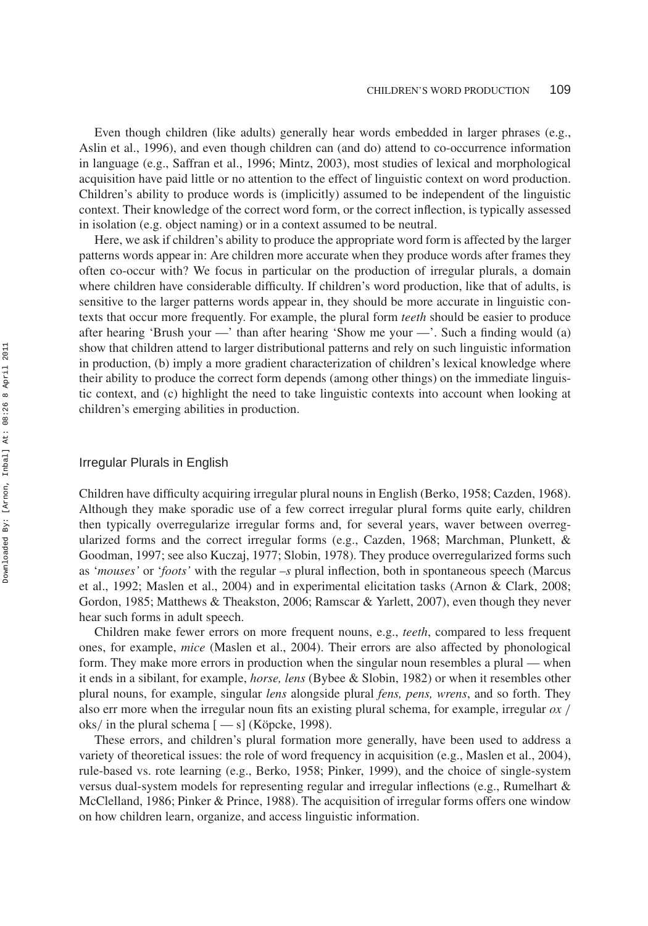Even though children (like adults) generally hear words embedded in larger phrases (e.g., Aslin et al., 1996), and even though children can (and do) attend to co-occurrence information in language (e.g., Saffran et al., 1996; Mintz, 2003), most studies of lexical and morphological acquisition have paid little or no attention to the effect of linguistic context on word production. Children's ability to produce words is (implicitly) assumed to be independent of the linguistic context. Their knowledge of the correct word form, or the correct inflection, is typically assessed in isolation (e.g. object naming) or in a context assumed to be neutral.

Here, we ask if children's ability to produce the appropriate word form is affected by the larger patterns words appear in: Are children more accurate when they produce words after frames they often co-occur with? We focus in particular on the production of irregular plurals, a domain where children have considerable difficulty. If children's word production, like that of adults, is sensitive to the larger patterns words appear in, they should be more accurate in linguistic contexts that occur more frequently. For example, the plural form *teeth* should be easier to produce after hearing 'Brush your —' than after hearing 'Show me your —'. Such a finding would (a) show that children attend to larger distributional patterns and rely on such linguistic information in production, (b) imply a more gradient characterization of children's lexical knowledge where their ability to produce the correct form depends (among other things) on the immediate linguistic context, and (c) highlight the need to take linguistic contexts into account when looking at children's emerging abilities in production.

#### Irregular Plurals in English

Children have difficulty acquiring irregular plural nouns in English (Berko, 1958; Cazden, 1968). Although they make sporadic use of a few correct irregular plural forms quite early, children then typically overregularize irregular forms and, for several years, waver between overregularized forms and the correct irregular forms (e.g., Cazden, 1968; Marchman, Plunkett, & Goodman, 1997; see also Kuczaj, 1977; Slobin, 1978). They produce overregularized forms such as '*mouses'* or '*foots'* with the regular *–s* plural inflection, both in spontaneous speech (Marcus et al., 1992; Maslen et al., 2004) and in experimental elicitation tasks (Arnon & Clark, 2008; Gordon, 1985; Matthews & Theakston, 2006; Ramscar & Yarlett, 2007), even though they never hear such forms in adult speech.

Children make fewer errors on more frequent nouns, e.g., *teeth*, compared to less frequent ones, for example, *mice* (Maslen et al., 2004). Their errors are also affected by phonological form. They make more errors in production when the singular noun resembles a plural — when it ends in a sibilant, for example, *horse, lens* (Bybee & Slobin, 1982) or when it resembles other plural nouns, for example, singular *lens* alongside plural *fens, pens, wrens*, and so forth. They also err more when the irregular noun fits an existing plural schema, for example, irregular *ox /* oks*/* in the plural schema [ — s] (Köpcke, 1998).

These errors, and children's plural formation more generally, have been used to address a variety of theoretical issues: the role of word frequency in acquisition (e.g., Maslen et al., 2004), rule-based vs. rote learning (e.g., Berko, 1958; Pinker, 1999), and the choice of single-system versus dual-system models for representing regular and irregular inflections (e.g., Rumelhart & McClelland, 1986; Pinker & Prince, 1988). The acquisition of irregular forms offers one window on how children learn, organize, and access linguistic information.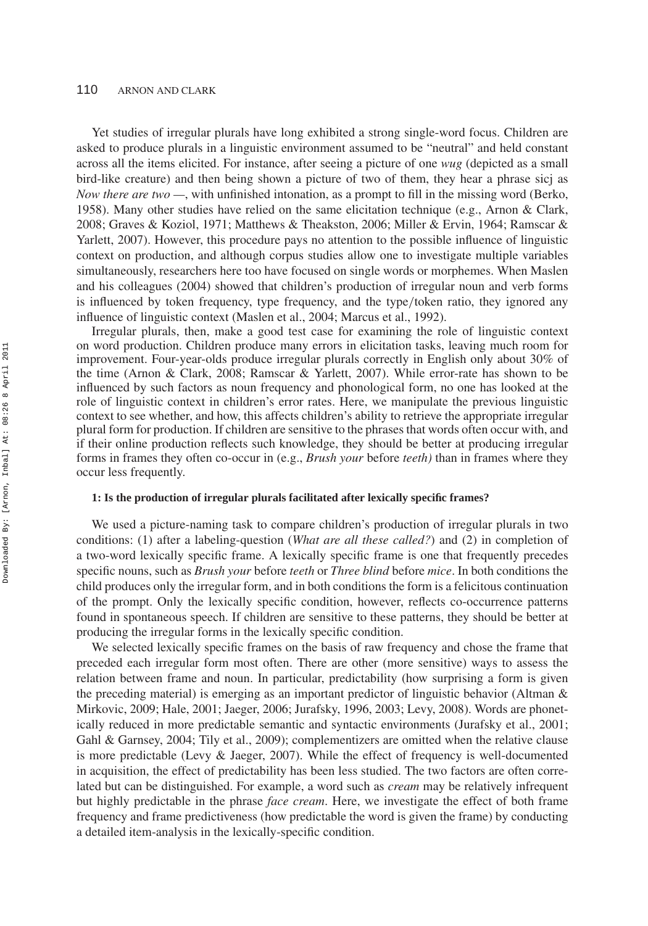Yet studies of irregular plurals have long exhibited a strong single-word focus. Children are asked to produce plurals in a linguistic environment assumed to be "neutral" and held constant across all the items elicited. For instance, after seeing a picture of one *wug* (depicted as a small bird-like creature) and then being shown a picture of two of them, they hear a phrase sicj as *Now there are two —*, with unfinished intonation, as a prompt to fill in the missing word (Berko, 1958). Many other studies have relied on the same elicitation technique (e.g., Arnon & Clark, 2008; Graves & Koziol, 1971; Matthews & Theakston, 2006; Miller & Ervin, 1964; Ramscar & Yarlett, 2007). However, this procedure pays no attention to the possible influence of linguistic context on production, and although corpus studies allow one to investigate multiple variables simultaneously, researchers here too have focused on single words or morphemes. When Maslen and his colleagues (2004) showed that children's production of irregular noun and verb forms is influenced by token frequency, type frequency, and the type*/*token ratio, they ignored any influence of linguistic context (Maslen et al., 2004; Marcus et al., 1992).

Irregular plurals, then, make a good test case for examining the role of linguistic context on word production. Children produce many errors in elicitation tasks, leaving much room for improvement. Four-year-olds produce irregular plurals correctly in English only about 30% of the time (Arnon & Clark, 2008; Ramscar & Yarlett, 2007). While error-rate has shown to be influenced by such factors as noun frequency and phonological form, no one has looked at the role of linguistic context in children's error rates. Here, we manipulate the previous linguistic context to see whether, and how, this affects children's ability to retrieve the appropriate irregular plural form for production. If children are sensitive to the phrases that words often occur with, and if their online production reflects such knowledge, they should be better at producing irregular forms in frames they often co-occur in (e.g., *Brush your* before *teeth)* than in frames where they occur less frequently.

#### **1: Is the production of irregular plurals facilitated after lexically specific frames?**

We used a picture-naming task to compare children's production of irregular plurals in two conditions: (1) after a labeling-question (*What are all these called?*) and (2) in completion of a two-word lexically specific frame. A lexically specific frame is one that frequently precedes specific nouns, such as *Brush your* before *teeth* or *Three blind* before *mice*. In both conditions the child produces only the irregular form, and in both conditions the form is a felicitous continuation of the prompt. Only the lexically specific condition, however, reflects co-occurrence patterns found in spontaneous speech. If children are sensitive to these patterns, they should be better at producing the irregular forms in the lexically specific condition.

We selected lexically specific frames on the basis of raw frequency and chose the frame that preceded each irregular form most often. There are other (more sensitive) ways to assess the relation between frame and noun. In particular, predictability (how surprising a form is given the preceding material) is emerging as an important predictor of linguistic behavior (Altman & Mirkovic, 2009; Hale, 2001; Jaeger, 2006; Jurafsky, 1996, 2003; Levy, 2008). Words are phonetically reduced in more predictable semantic and syntactic environments (Jurafsky et al., 2001; Gahl & Garnsey, 2004; Tily et al., 2009); complementizers are omitted when the relative clause is more predictable (Levy & Jaeger, 2007). While the effect of frequency is well-documented in acquisition, the effect of predictability has been less studied. The two factors are often correlated but can be distinguished. For example, a word such as *cream* may be relatively infrequent but highly predictable in the phrase *face cream*. Here, we investigate the effect of both frame frequency and frame predictiveness (how predictable the word is given the frame) by conducting a detailed item-analysis in the lexically-specific condition.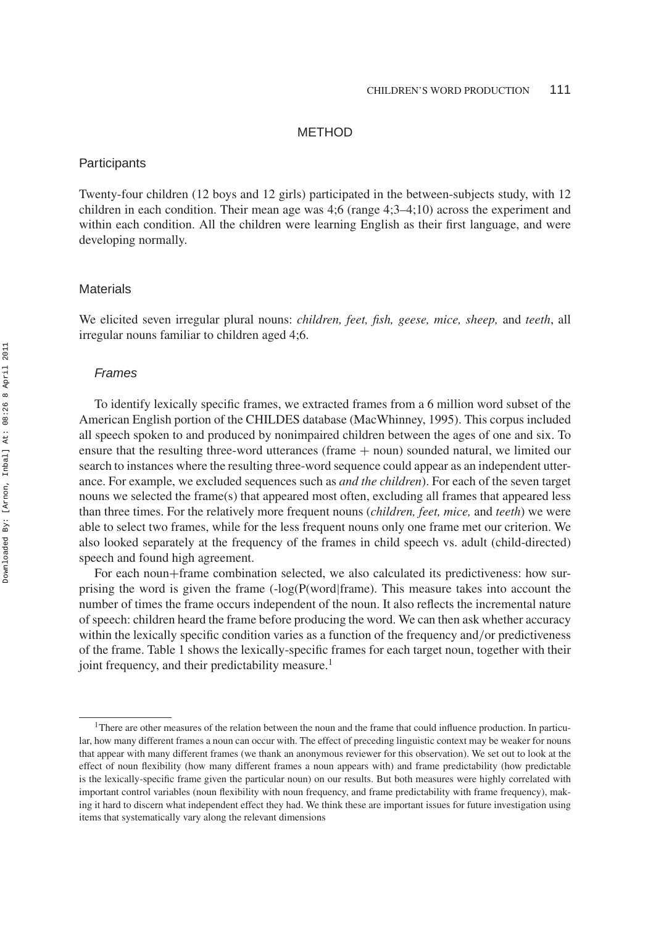## METHOD

#### **Participants**

Twenty-four children (12 boys and 12 girls) participated in the between-subjects study, with 12 children in each condition. Their mean age was 4;6 (range 4;3–4;10) across the experiment and within each condition. All the children were learning English as their first language, and were developing normally.

## **Materials**

We elicited seven irregular plural nouns: *children, feet, fish, geese, mice, sheep,* and *teeth*, all irregular nouns familiar to children aged 4;6.

#### *Frames*

To identify lexically specific frames, we extracted frames from a 6 million word subset of the American English portion of the CHILDES database (MacWhinney, 1995). This corpus included all speech spoken to and produced by nonimpaired children between the ages of one and six. To ensure that the resulting three-word utterances (frame  $+$  noun) sounded natural, we limited our search to instances where the resulting three-word sequence could appear as an independent utterance. For example, we excluded sequences such as *and the children*). For each of the seven target nouns we selected the frame(s) that appeared most often, excluding all frames that appeared less than three times. For the relatively more frequent nouns (*children, feet, mice,* and *teeth*) we were able to select two frames, while for the less frequent nouns only one frame met our criterion. We also looked separately at the frequency of the frames in child speech vs. adult (child-directed) speech and found high agreement.

For each noun+frame combination selected, we also calculated its predictiveness: how surprising the word is given the frame  $(-\log(P(word|frame))$ . This measure takes into account the number of times the frame occurs independent of the noun. It also reflects the incremental nature of speech: children heard the frame before producing the word. We can then ask whether accuracy within the lexically specific condition varies as a function of the frequency and*/*or predictiveness of the frame. Table 1 shows the lexically-specific frames for each target noun, together with their joint frequency, and their predictability measure.<sup>1</sup>

<sup>&</sup>lt;sup>1</sup>There are other measures of the relation between the noun and the frame that could influence production. In particular, how many different frames a noun can occur with. The effect of preceding linguistic context may be weaker for nouns that appear with many different frames (we thank an anonymous reviewer for this observation). We set out to look at the effect of noun flexibility (how many different frames a noun appears with) and frame predictability (how predictable is the lexically-specific frame given the particular noun) on our results. But both measures were highly correlated with important control variables (noun flexibility with noun frequency, and frame predictability with frame frequency), making it hard to discern what independent effect they had. We think these are important issues for future investigation using items that systematically vary along the relevant dimensions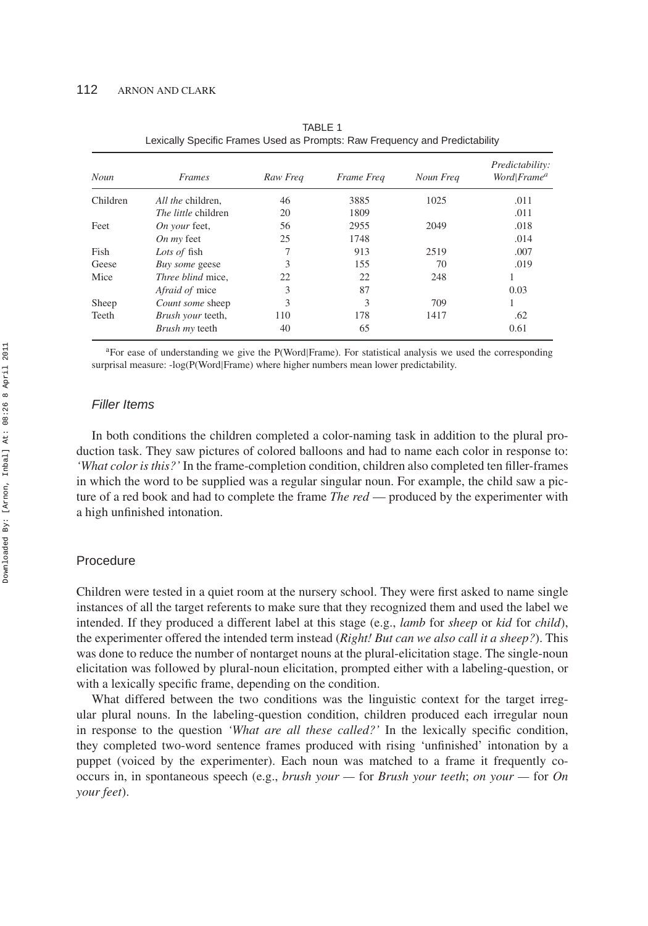| Noun     | <i>Frames</i>              | Raw Freq | Frame Freq | Noun Freq | Predictability:<br>Word Frame <sup>a</sup> |
|----------|----------------------------|----------|------------|-----------|--------------------------------------------|
|          |                            |          |            |           |                                            |
| Children | All the children.          | 46       | 3885       | 1025      | .011                                       |
|          | <i>The little</i> children | 20       | 1809       |           | .011                                       |
| Feet     | On your feet,              | 56       | 2955       | 2049      | .018                                       |
|          | On $mv$ feet               | 25       | 1748       |           | .014                                       |
| Fish     | Lots of fish               |          | 913        | 2519      | .007                                       |
| Geese    | Buy some geese             | 3        | 155        | 70        | .019                                       |
| Mice     | Three blind mice,          | 22       | 22         | 248       |                                            |
|          | Afraid of mice             | 3        | 87         |           | 0.03                                       |
| Sheep    | Count some sheep           | 3        | 3          | 709       |                                            |
| Teeth    | Brush your teeth,          | 110      | 178        | 1417      | .62                                        |
|          | Brush my teeth             | 40       | 65         |           | 0.61                                       |

TABLE 1 Lexically Specific Frames Used as Prompts: Raw Frequency and Predictability

<sup>a</sup>For ease of understanding we give the P(Word|Frame). For statistical analysis we used the corresponding surprisal measure: -log(P(Word|Frame) where higher numbers mean lower predictability.

## *Filler Items*

In both conditions the children completed a color-naming task in addition to the plural production task. They saw pictures of colored balloons and had to name each color in response to: *'What color is this?'* In the frame-completion condition, children also completed ten filler-frames in which the word to be supplied was a regular singular noun. For example, the child saw a picture of a red book and had to complete the frame *The red* — produced by the experimenter with a high unfinished intonation.

## Procedure

Children were tested in a quiet room at the nursery school. They were first asked to name single instances of all the target referents to make sure that they recognized them and used the label we intended. If they produced a different label at this stage (e.g., *lamb* for *sheep* or *kid* for *child*), the experimenter offered the intended term instead (*Right! But can we also call it a sheep?*). This was done to reduce the number of nontarget nouns at the plural-elicitation stage. The single-noun elicitation was followed by plural-noun elicitation, prompted either with a labeling-question, or with a lexically specific frame, depending on the condition.

What differed between the two conditions was the linguistic context for the target irregular plural nouns. In the labeling-question condition, children produced each irregular noun in response to the question *'What are all these called?'* In the lexically specific condition, they completed two-word sentence frames produced with rising 'unfinished' intonation by a puppet (voiced by the experimenter). Each noun was matched to a frame it frequently cooccurs in, in spontaneous speech (e.g., *brush your —* for *Brush your teeth*; *on your —* for *On your feet*).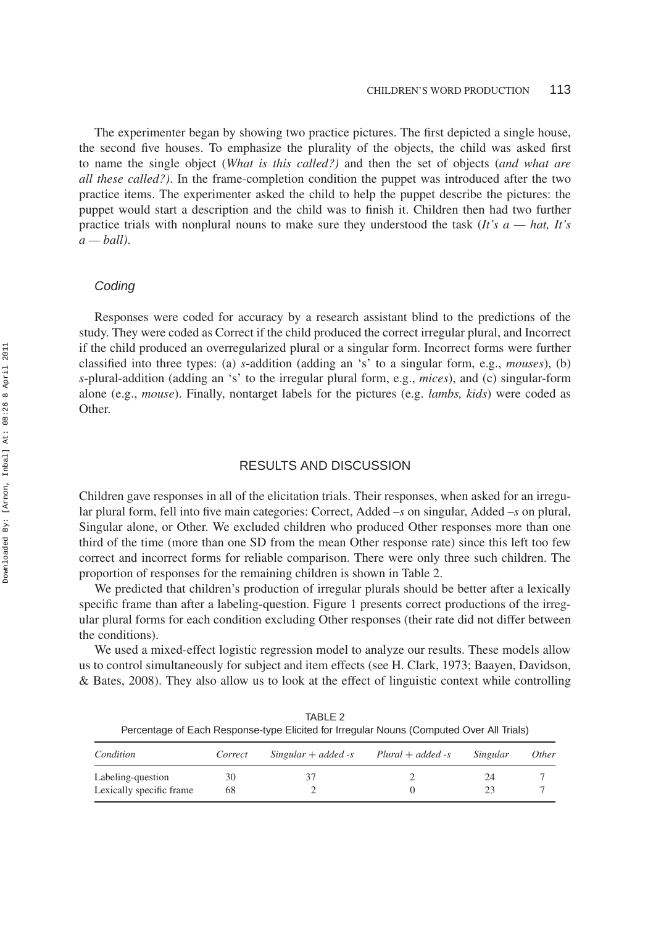The experimenter began by showing two practice pictures. The first depicted a single house, the second five houses. To emphasize the plurality of the objects, the child was asked first to name the single object (*What is this called?)* and then the set of objects (*and what are all these called?)*. In the frame-completion condition the puppet was introduced after the two practice items. The experimenter asked the child to help the puppet describe the pictures: the puppet would start a description and the child was to finish it. Children then had two further practice trials with nonplural nouns to make sure they understood the task (*It's a — hat, It's a — ball)*.

#### *Coding*

Responses were coded for accuracy by a research assistant blind to the predictions of the study. They were coded as Correct if the child produced the correct irregular plural, and Incorrect if the child produced an overregularized plural or a singular form. Incorrect forms were further classified into three types: (a) *s*-addition (adding an 's' to a singular form, e.g., *mouses*), (b) *s*-plural-addition (adding an 's' to the irregular plural form, e.g., *mices*), and (c) singular-form alone (e.g., *mouse*). Finally, nontarget labels for the pictures (e.g. *lambs, kids*) were coded as Other.

## RESULTS AND DISCUSSION

Children gave responses in all of the elicitation trials. Their responses, when asked for an irregular plural form, fell into five main categories: Correct, Added –*s* on singular, Added –*s* on plural, Singular alone, or Other. We excluded children who produced Other responses more than one third of the time (more than one SD from the mean Other response rate) since this left too few correct and incorrect forms for reliable comparison. There were only three such children. The proportion of responses for the remaining children is shown in Table 2.

We predicted that children's production of irregular plurals should be better after a lexically specific frame than after a labeling-question. Figure 1 presents correct productions of the irregular plural forms for each condition excluding Other responses (their rate did not differ between the conditions).

We used a mixed-effect logistic regression model to analyze our results. These models allow us to control simultaneously for subject and item effects (see H. Clark, 1973; Baayen, Davidson, & Bates, 2008). They also allow us to look at the effect of linguistic context while controlling

| Condition                | Correct | $Singular + added -s$ | $Plural + added -s$ | Singular | <i>Other</i> |
|--------------------------|---------|-----------------------|---------------------|----------|--------------|
| Labeling-question        | 30      |                       |                     | 24       |              |
| Lexically specific frame | 68      |                       |                     | 23       |              |

TABLE 2 Percentage of Each Response-type Elicited for Irregular Nouns (Computed Over All Trials)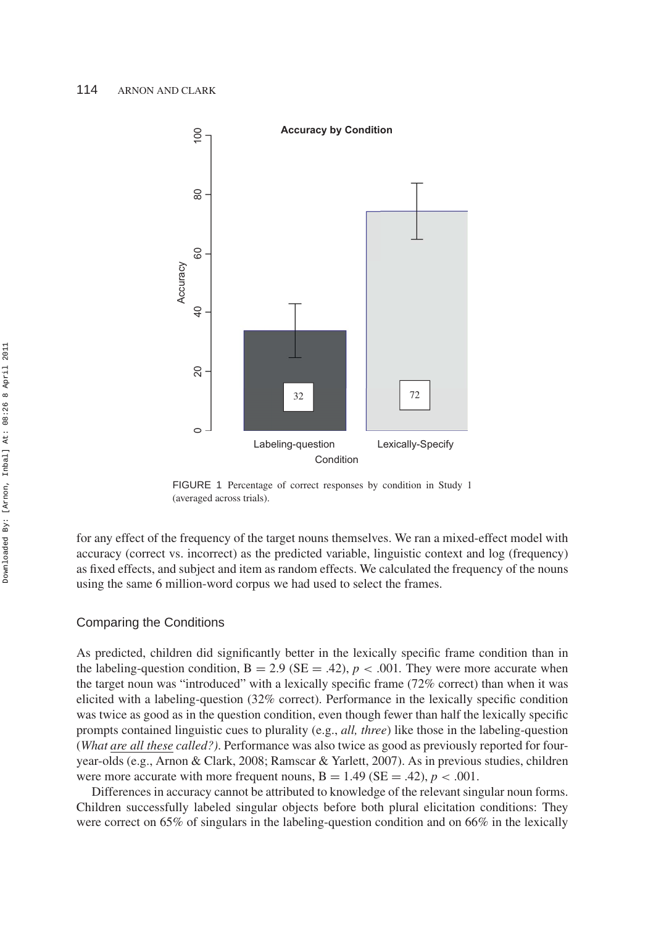

FIGURE 1 Percentage of correct responses by condition in Study 1 (averaged across trials).

for any effect of the frequency of the target nouns themselves. We ran a mixed-effect model with accuracy (correct vs. incorrect) as the predicted variable, linguistic context and log (frequency) as fixed effects, and subject and item as random effects. We calculated the frequency of the nouns using the same 6 million-word corpus we had used to select the frames.

## Comparing the Conditions

As predicted, children did significantly better in the lexically specific frame condition than in the labeling-question condition,  $B = 2.9$  ( $SE = .42$ ),  $p < .001$ . They were more accurate when the target noun was "introduced" with a lexically specific frame (72% correct) than when it was elicited with a labeling-question (32% correct). Performance in the lexically specific condition was twice as good as in the question condition, even though fewer than half the lexically specific prompts contained linguistic cues to plurality (e.g., *all, three*) like those in the labeling-question (*What are all these called?)*. Performance was also twice as good as previously reported for fouryear-olds (e.g., Arnon & Clark, 2008; Ramscar & Yarlett, 2007). As in previous studies, children were more accurate with more frequent nouns,  $B = 1.49$  ( $SE = .42$ ),  $p < .001$ .

Differences in accuracy cannot be attributed to knowledge of the relevant singular noun forms. Children successfully labeled singular objects before both plural elicitation conditions: They were correct on 65% of singulars in the labeling-question condition and on 66% in the lexically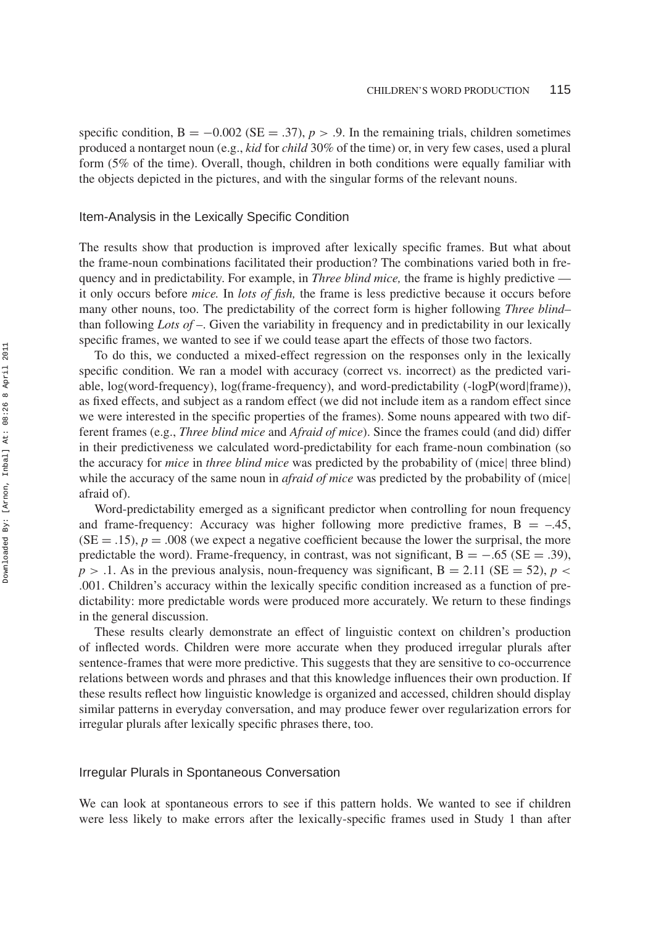specific condition,  $B = -0.002$  (SE = .37),  $p > .9$ . In the remaining trials, children sometimes produced a nontarget noun (e.g., *kid* for *child* 30% of the time) or, in very few cases, used a plural form (5% of the time). Overall, though, children in both conditions were equally familiar with the objects depicted in the pictures, and with the singular forms of the relevant nouns.

## Item-Analysis in the Lexically Specific Condition

The results show that production is improved after lexically specific frames. But what about the frame-noun combinations facilitated their production? The combinations varied both in frequency and in predictability. For example, in *Three blind mice,* the frame is highly predictive it only occurs before *mice.* In *lots of fish,* the frame is less predictive because it occurs before many other nouns, too. The predictability of the correct form is higher following *Three blind–* than following *Lots of –*. Given the variability in frequency and in predictability in our lexically specific frames, we wanted to see if we could tease apart the effects of those two factors.

To do this, we conducted a mixed-effect regression on the responses only in the lexically specific condition. We ran a model with accuracy (correct vs. incorrect) as the predicted variable, log(word-frequency), log(frame-frequency), and word-predictability (-logP(word|frame)), as fixed effects, and subject as a random effect (we did not include item as a random effect since we were interested in the specific properties of the frames). Some nouns appeared with two different frames (e.g., *Three blind mice* and *Afraid of mice*). Since the frames could (and did) differ in their predictiveness we calculated word-predictability for each frame-noun combination (so the accuracy for *mice* in *three blind mice* was predicted by the probability of (mice| three blind) while the accuracy of the same noun in *afraid of mice* was predicted by the probability of (mice) afraid of).

Word-predictability emerged as a significant predictor when controlling for noun frequency and frame-frequency: Accuracy was higher following more predictive frames,  $B = -.45$ ,  $(SE = .15)$ ,  $p = .008$  (we expect a negative coefficient because the lower the surprisal, the more predictable the word). Frame-frequency, in contrast, was not significant,  $B = -.65$  ( $SE = .39$ ),  $p > 0.1$ . As in the previous analysis, noun-frequency was significant,  $B = 2.11$  (SE = 52),  $p <$ .001. Children's accuracy within the lexically specific condition increased as a function of predictability: more predictable words were produced more accurately. We return to these findings in the general discussion.

These results clearly demonstrate an effect of linguistic context on children's production of inflected words. Children were more accurate when they produced irregular plurals after sentence-frames that were more predictive. This suggests that they are sensitive to co-occurrence relations between words and phrases and that this knowledge influences their own production. If these results reflect how linguistic knowledge is organized and accessed, children should display similar patterns in everyday conversation, and may produce fewer over regularization errors for irregular plurals after lexically specific phrases there, too.

#### Irregular Plurals in Spontaneous Conversation

We can look at spontaneous errors to see if this pattern holds. We wanted to see if children were less likely to make errors after the lexically-specific frames used in Study 1 than after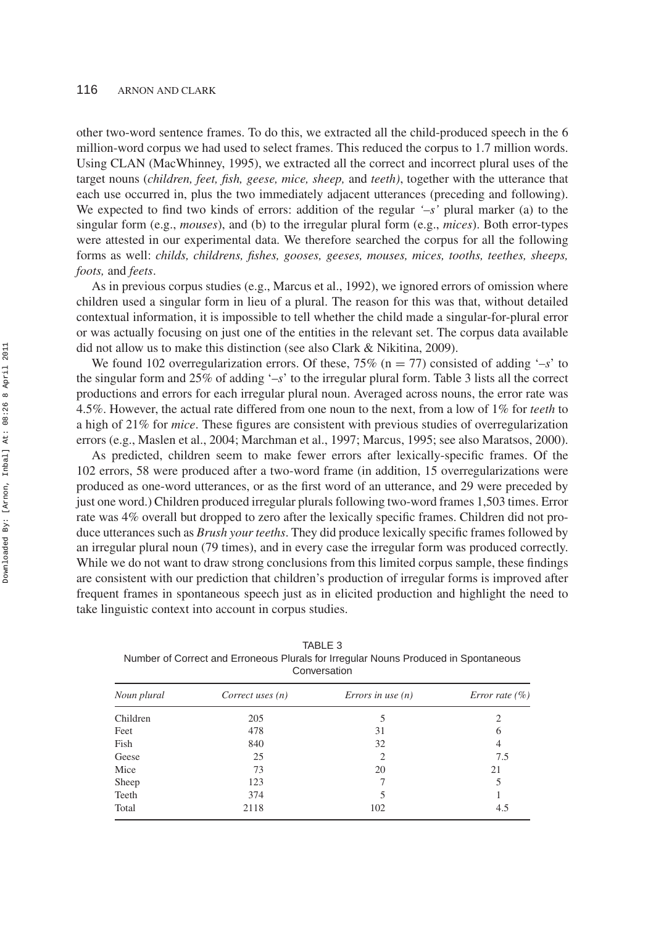other two-word sentence frames. To do this, we extracted all the child-produced speech in the 6 million-word corpus we had used to select frames. This reduced the corpus to 1.7 million words. Using CLAN (MacWhinney, 1995), we extracted all the correct and incorrect plural uses of the target nouns (*children, feet, fish, geese, mice, sheep,* and *teeth)*, together with the utterance that each use occurred in, plus the two immediately adjacent utterances (preceding and following). We expected to find two kinds of errors: addition of the regular *'–s'* plural marker (a) to the singular form (e.g., *mouses*), and (b) to the irregular plural form (e.g., *mices*). Both error-types were attested in our experimental data. We therefore searched the corpus for all the following forms as well: *childs, childrens, fishes, gooses, geeses, mouses, mices, tooths, teethes, sheeps, foots,* and *feets*.

As in previous corpus studies (e.g., Marcus et al., 1992), we ignored errors of omission where children used a singular form in lieu of a plural. The reason for this was that, without detailed contextual information, it is impossible to tell whether the child made a singular-for-plural error or was actually focusing on just one of the entities in the relevant set. The corpus data available did not allow us to make this distinction (see also Clark & Nikitina, 2009).

We found 102 overregularization errors. Of these,  $75\%$  (n = 77) consisted of adding '-*s*' to the singular form and 25% of adding '–*s*' to the irregular plural form. Table 3 lists all the correct productions and errors for each irregular plural noun. Averaged across nouns, the error rate was 4.5%. However, the actual rate differed from one noun to the next, from a low of 1% for *teeth* to a high of 21% for *mice*. These figures are consistent with previous studies of overregularization errors (e.g., Maslen et al., 2004; Marchman et al., 1997; Marcus, 1995; see also Maratsos, 2000).

As predicted, children seem to make fewer errors after lexically-specific frames. Of the 102 errors, 58 were produced after a two-word frame (in addition, 15 overregularizations were produced as one-word utterances, or as the first word of an utterance, and 29 were preceded by just one word.) Children produced irregular plurals following two-word frames 1,503 times. Error rate was 4% overall but dropped to zero after the lexically specific frames. Children did not produce utterances such as *Brush your teeths*. They did produce lexically specific frames followed by an irregular plural noun (79 times), and in every case the irregular form was produced correctly. While we do not want to draw strong conclusions from this limited corpus sample, these findings are consistent with our prediction that children's production of irregular forms is improved after frequent frames in spontaneous speech just as in elicited production and highlight the need to take linguistic context into account in corpus studies.

| Noun plural | Correct uses $(n)$ | Errors in use $(n)$ | <i>Error rate</i> $(\%)$ |  |  |  |  |
|-------------|--------------------|---------------------|--------------------------|--|--|--|--|
| Children    | 205                | 5                   | 2                        |  |  |  |  |
| Feet        | 478                | 31                  | 6                        |  |  |  |  |
| Fish        | 840                | 32                  | 4                        |  |  |  |  |
| Geese       | 25                 | $\overline{2}$      | 7.5                      |  |  |  |  |
| Mice        | 73                 | 20                  | 21                       |  |  |  |  |
| Sheep       | 123                |                     | 5                        |  |  |  |  |
| Teeth       | 374                | 5                   |                          |  |  |  |  |
| Total       | 2118               | 102                 | 4.5                      |  |  |  |  |
|             |                    |                     |                          |  |  |  |  |

TABLE 3 Number of Correct and Erroneous Plurals for Irregular Nouns Produced in Spontaneous Conversation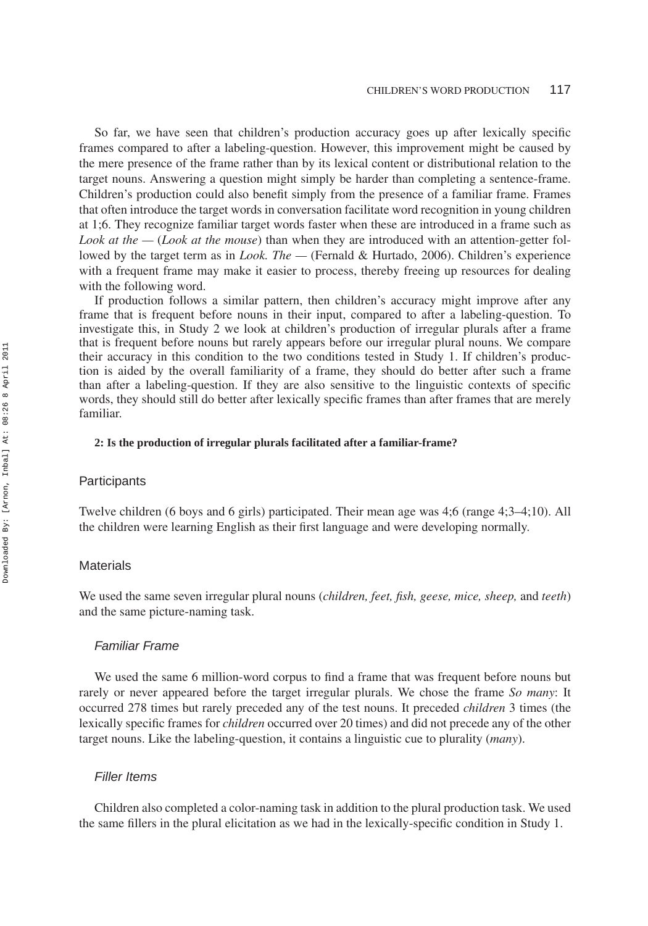So far, we have seen that children's production accuracy goes up after lexically specific frames compared to after a labeling-question. However, this improvement might be caused by the mere presence of the frame rather than by its lexical content or distributional relation to the target nouns. Answering a question might simply be harder than completing a sentence-frame. Children's production could also benefit simply from the presence of a familiar frame. Frames that often introduce the target words in conversation facilitate word recognition in young children at 1;6. They recognize familiar target words faster when these are introduced in a frame such as *Look at the —* (*Look at the mouse*) than when they are introduced with an attention-getter followed by the target term as in *Look. The —* (Fernald & Hurtado, 2006). Children's experience with a frequent frame may make it easier to process, thereby freeing up resources for dealing with the following word.

If production follows a similar pattern, then children's accuracy might improve after any frame that is frequent before nouns in their input, compared to after a labeling-question. To investigate this, in Study 2 we look at children's production of irregular plurals after a frame that is frequent before nouns but rarely appears before our irregular plural nouns. We compare their accuracy in this condition to the two conditions tested in Study 1. If children's production is aided by the overall familiarity of a frame, they should do better after such a frame than after a labeling-question. If they are also sensitive to the linguistic contexts of specific words, they should still do better after lexically specific frames than after frames that are merely familiar.

#### **2: Is the production of irregular plurals facilitated after a familiar-frame?**

#### **Participants**

Twelve children (6 boys and 6 girls) participated. Their mean age was 4;6 (range 4;3–4;10). All the children were learning English as their first language and were developing normally.

## **Materials**

We used the same seven irregular plural nouns (*children, feet, fish, geese, mice, sheep,* and *teeth*) and the same picture-naming task.

## *Familiar Frame*

We used the same 6 million-word corpus to find a frame that was frequent before nouns but rarely or never appeared before the target irregular plurals. We chose the frame *So many*: It occurred 278 times but rarely preceded any of the test nouns. It preceded *children* 3 times (the lexically specific frames for *children* occurred over 20 times) and did not precede any of the other target nouns. Like the labeling-question, it contains a linguistic cue to plurality (*many*).

## *Filler Items*

Children also completed a color-naming task in addition to the plural production task. We used the same fillers in the plural elicitation as we had in the lexically-specific condition in Study 1.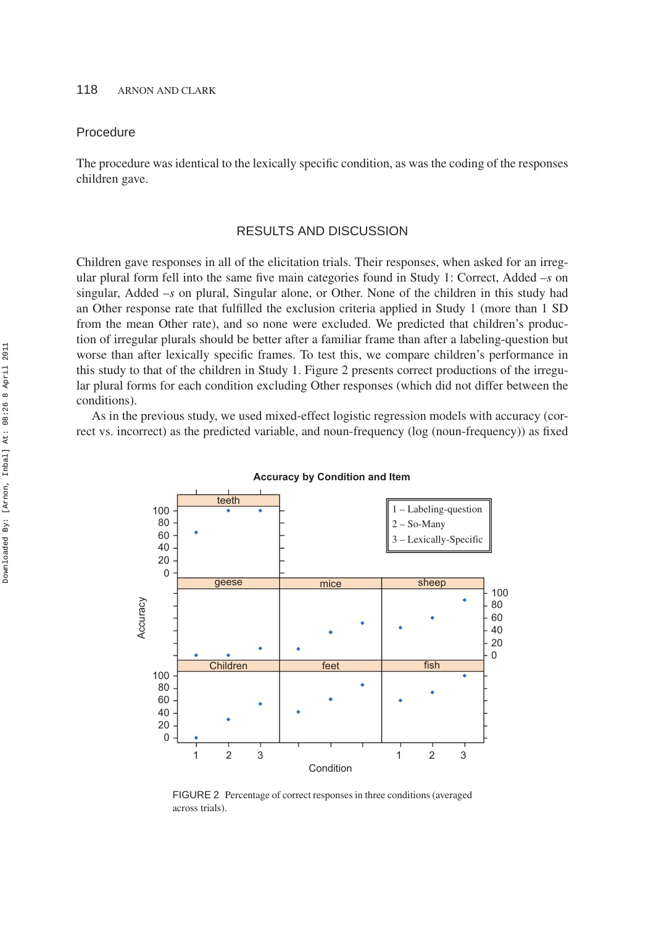## Procedure

The procedure was identical to the lexically specific condition, as was the coding of the responses children gave.

## RESULTS AND DISCUSSION

Children gave responses in all of the elicitation trials. Their responses, when asked for an irregular plural form fell into the same five main categories found in Study 1: Correct, Added –*s* on singular, Added –*s* on plural, Singular alone, or Other. None of the children in this study had an Other response rate that fulfilled the exclusion criteria applied in Study 1 (more than 1 SD from the mean Other rate), and so none were excluded. We predicted that children's production of irregular plurals should be better after a familiar frame than after a labeling-question but worse than after lexically specific frames. To test this, we compare children's performance in this study to that of the children in Study 1. Figure 2 presents correct productions of the irregular plural forms for each condition excluding Other responses (which did not differ between the conditions).

As in the previous study, we used mixed-effect logistic regression models with accuracy (correct vs. incorrect) as the predicted variable, and noun-frequency (log (noun-frequency)) as fixed



**Accuracy by Condition and Item**

FIGURE 2 Percentage of correct responses in three conditions (averaged across trials).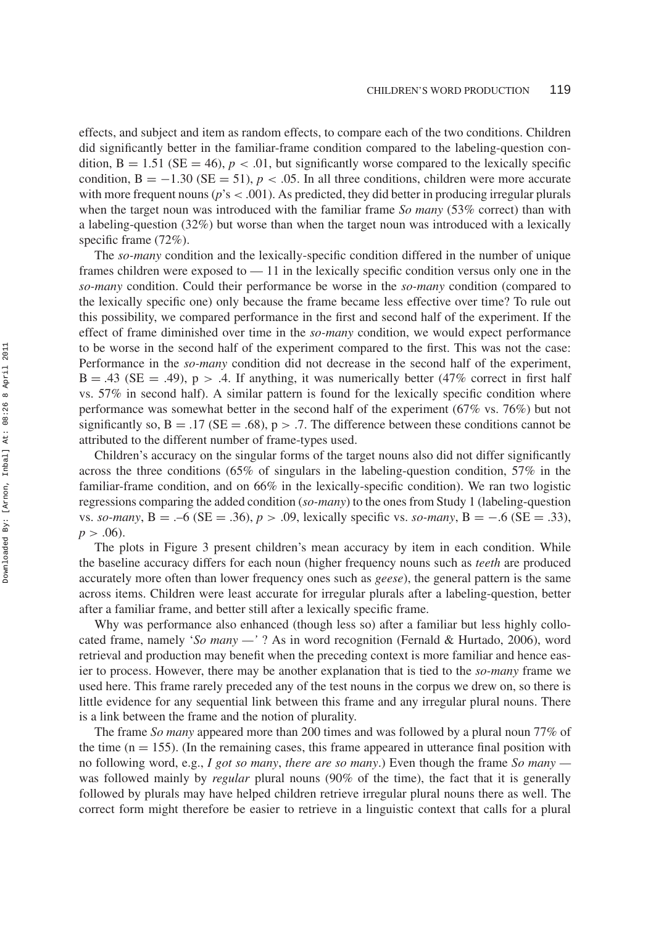effects, and subject and item as random effects, to compare each of the two conditions. Children did significantly better in the familiar-frame condition compared to the labeling-question condition,  $B = 1.51$  (SE = 46),  $p < .01$ , but significantly worse compared to the lexically specific condition,  $B = -1.30$  (SE = 51),  $p < .05$ . In all three conditions, children were more accurate with more frequent nouns ( $p$ 's  $<$  .001). As predicted, they did better in producing irregular plurals when the target noun was introduced with the familiar frame *So many* (53% correct) than with a labeling-question (32%) but worse than when the target noun was introduced with a lexically specific frame (72%).

The *so-many* condition and the lexically-specific condition differed in the number of unique frames children were exposed to — 11 in the lexically specific condition versus only one in the *so-many* condition. Could their performance be worse in the *so-many* condition (compared to the lexically specific one) only because the frame became less effective over time? To rule out this possibility, we compared performance in the first and second half of the experiment. If the effect of frame diminished over time in the *so-many* condition, we would expect performance to be worse in the second half of the experiment compared to the first. This was not the case: Performance in the *so-many* condition did not decrease in the second half of the experiment,  $B = .43$  (SE = .49),  $p > .4$ . If anything, it was numerically better (47% correct in first half vs. 57% in second half). A similar pattern is found for the lexically specific condition where performance was somewhat better in the second half of the experiment (67% vs. 76%) but not significantly so,  $B = .17$  (SE = .68),  $p > .7$ . The difference between these conditions cannot be attributed to the different number of frame-types used.

Children's accuracy on the singular forms of the target nouns also did not differ significantly across the three conditions (65% of singulars in the labeling-question condition, 57% in the familiar-frame condition, and on 66% in the lexically-specific condition). We ran two logistic regressions comparing the added condition (*so-many*) to the ones from Study 1 (labeling-question vs. *so-many*, B = .–6 (SE = .36), *p >* .09, lexically specific vs. *so-many*, B = −.6 (SE = .33),  $p > .06$ ).

The plots in Figure 3 present children's mean accuracy by item in each condition. While the baseline accuracy differs for each noun (higher frequency nouns such as *teeth* are produced accurately more often than lower frequency ones such as *geese*), the general pattern is the same across items. Children were least accurate for irregular plurals after a labeling-question, better after a familiar frame, and better still after a lexically specific frame.

Why was performance also enhanced (though less so) after a familiar but less highly collocated frame, namely '*So many —'* ? As in word recognition (Fernald & Hurtado, 2006), word retrieval and production may benefit when the preceding context is more familiar and hence easier to process. However, there may be another explanation that is tied to the *so-many* frame we used here. This frame rarely preceded any of the test nouns in the corpus we drew on, so there is little evidence for any sequential link between this frame and any irregular plural nouns. There is a link between the frame and the notion of plurality.

The frame *So many* appeared more than 200 times and was followed by a plural noun 77% of the time  $(n = 155)$ . (In the remaining cases, this frame appeared in utterance final position with no following word, e.g., *I got so many*, *there are so many*.) Even though the frame *So many*  was followed mainly by *regular* plural nouns (90% of the time), the fact that it is generally followed by plurals may have helped children retrieve irregular plural nouns there as well. The correct form might therefore be easier to retrieve in a linguistic context that calls for a plural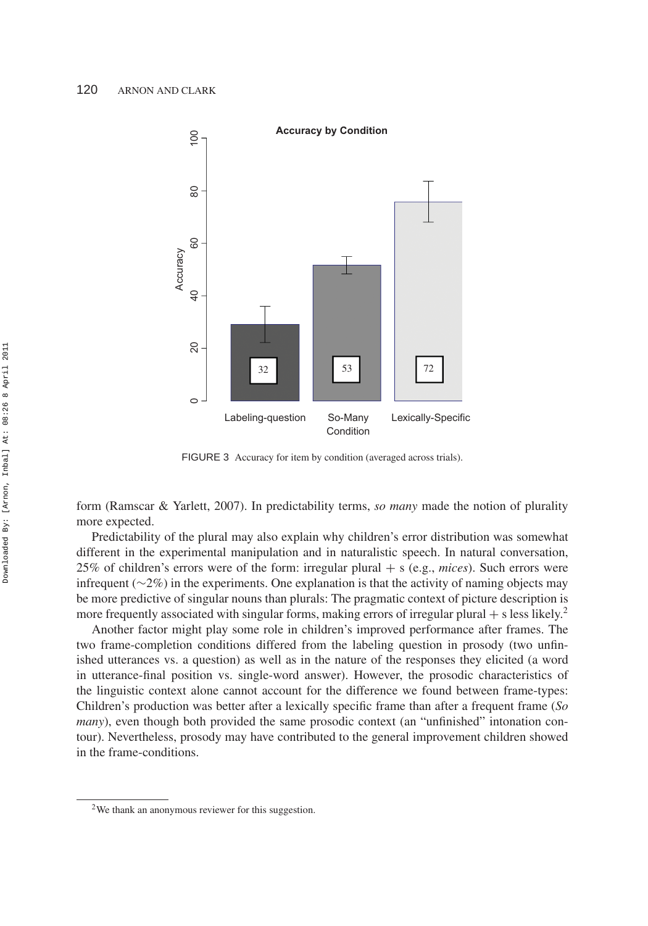

FIGURE 3 Accuracy for item by condition (averaged across trials).

form (Ramscar & Yarlett, 2007). In predictability terms, *so many* made the notion of plurality more expected.

Predictability of the plural may also explain why children's error distribution was somewhat different in the experimental manipulation and in naturalistic speech. In natural conversation, 25% of children's errors were of the form: irregular plural + s (e.g., *mices*). Such errors were infrequent (∼2%) in the experiments. One explanation is that the activity of naming objects may be more predictive of singular nouns than plurals: The pragmatic context of picture description is more frequently associated with singular forms, making errors of irregular plural  $+$  s less likely.<sup>2</sup>

Another factor might play some role in children's improved performance after frames. The two frame-completion conditions differed from the labeling question in prosody (two unfinished utterances vs. a question) as well as in the nature of the responses they elicited (a word in utterance-final position vs. single-word answer). However, the prosodic characteristics of the linguistic context alone cannot account for the difference we found between frame-types: Children's production was better after a lexically specific frame than after a frequent frame (*So many*), even though both provided the same prosodic context (an "unfinished" intonation contour). Nevertheless, prosody may have contributed to the general improvement children showed in the frame-conditions.

<sup>2</sup>We thank an anonymous reviewer for this suggestion.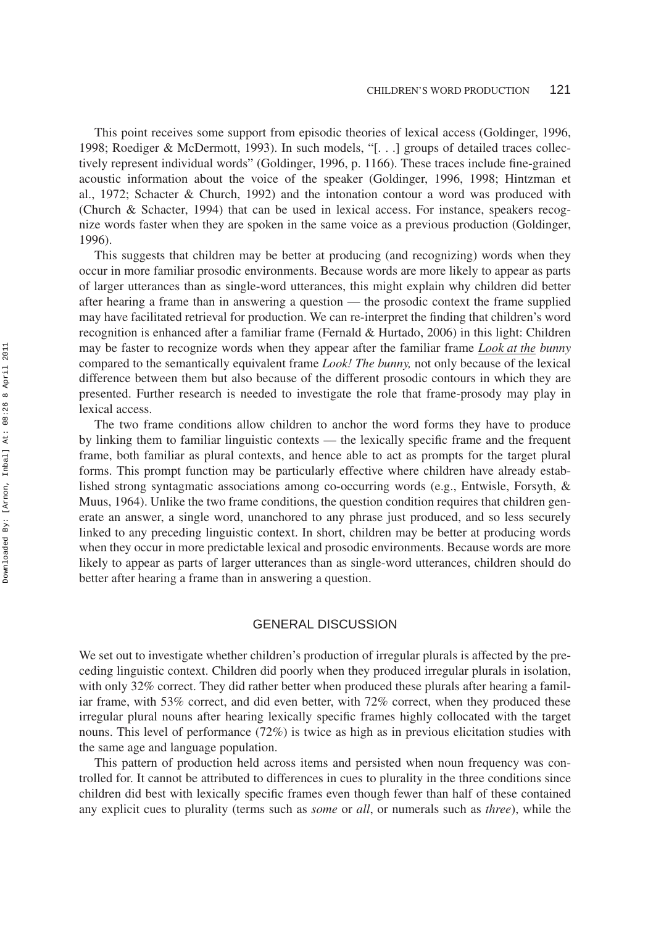This point receives some support from episodic theories of lexical access (Goldinger, 1996, 1998; Roediger & McDermott, 1993). In such models, "[. . .] groups of detailed traces collectively represent individual words" (Goldinger, 1996, p. 1166). These traces include fine-grained acoustic information about the voice of the speaker (Goldinger, 1996, 1998; Hintzman et al., 1972; Schacter & Church, 1992) and the intonation contour a word was produced with (Church & Schacter, 1994) that can be used in lexical access. For instance, speakers recognize words faster when they are spoken in the same voice as a previous production (Goldinger, 1996).

This suggests that children may be better at producing (and recognizing) words when they occur in more familiar prosodic environments. Because words are more likely to appear as parts of larger utterances than as single-word utterances, this might explain why children did better after hearing a frame than in answering a question — the prosodic context the frame supplied may have facilitated retrieval for production. We can re-interpret the finding that children's word recognition is enhanced after a familiar frame (Fernald & Hurtado, 2006) in this light: Children may be faster to recognize words when they appear after the familiar frame *Look at the bunny* compared to the semantically equivalent frame *Look! The bunny,* not only because of the lexical difference between them but also because of the different prosodic contours in which they are presented. Further research is needed to investigate the role that frame-prosody may play in lexical access.

The two frame conditions allow children to anchor the word forms they have to produce by linking them to familiar linguistic contexts — the lexically specific frame and the frequent frame, both familiar as plural contexts, and hence able to act as prompts for the target plural forms. This prompt function may be particularly effective where children have already established strong syntagmatic associations among co-occurring words (e.g., Entwisle, Forsyth, & Muus, 1964). Unlike the two frame conditions, the question condition requires that children generate an answer, a single word, unanchored to any phrase just produced, and so less securely linked to any preceding linguistic context. In short, children may be better at producing words when they occur in more predictable lexical and prosodic environments. Because words are more likely to appear as parts of larger utterances than as single-word utterances, children should do better after hearing a frame than in answering a question.

## GENERAL DISCUSSION

We set out to investigate whether children's production of irregular plurals is affected by the preceding linguistic context. Children did poorly when they produced irregular plurals in isolation, with only 32% correct. They did rather better when produced these plurals after hearing a familiar frame, with 53% correct, and did even better, with 72% correct, when they produced these irregular plural nouns after hearing lexically specific frames highly collocated with the target nouns. This level of performance (72%) is twice as high as in previous elicitation studies with the same age and language population.

This pattern of production held across items and persisted when noun frequency was controlled for. It cannot be attributed to differences in cues to plurality in the three conditions since children did best with lexically specific frames even though fewer than half of these contained any explicit cues to plurality (terms such as *some* or *all*, or numerals such as *three*), while the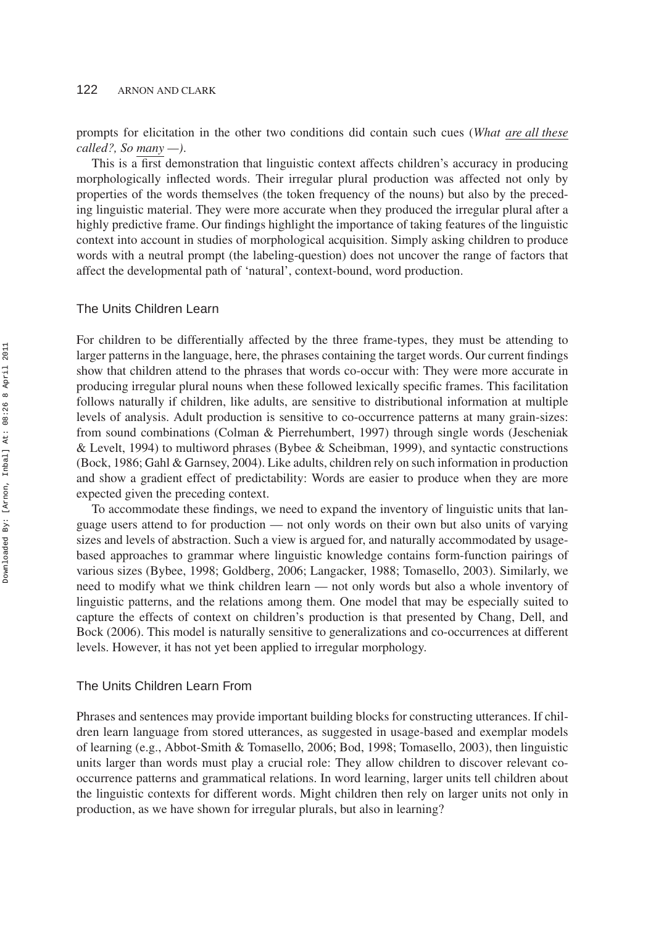prompts for elicitation in the other two conditions did contain such cues (*What are all these called?, So many —)*.

This is a first demonstration that linguistic context affects children's accuracy in producing morphologically inflected words. Their irregular plural production was affected not only by properties of the words themselves (the token frequency of the nouns) but also by the preceding linguistic material. They were more accurate when they produced the irregular plural after a highly predictive frame. Our findings highlight the importance of taking features of the linguistic context into account in studies of morphological acquisition. Simply asking children to produce words with a neutral prompt (the labeling-question) does not uncover the range of factors that affect the developmental path of 'natural', context-bound, word production.

## The Units Children Learn

For children to be differentially affected by the three frame-types, they must be attending to larger patterns in the language, here, the phrases containing the target words. Our current findings show that children attend to the phrases that words co-occur with: They were more accurate in producing irregular plural nouns when these followed lexically specific frames. This facilitation follows naturally if children, like adults, are sensitive to distributional information at multiple levels of analysis. Adult production is sensitive to co-occurrence patterns at many grain-sizes: from sound combinations (Colman & Pierrehumbert, 1997) through single words (Jescheniak & Levelt, 1994) to multiword phrases (Bybee & Scheibman, 1999), and syntactic constructions (Bock, 1986; Gahl & Garnsey, 2004). Like adults, children rely on such information in production and show a gradient effect of predictability: Words are easier to produce when they are more expected given the preceding context.

To accommodate these findings, we need to expand the inventory of linguistic units that language users attend to for production — not only words on their own but also units of varying sizes and levels of abstraction. Such a view is argued for, and naturally accommodated by usagebased approaches to grammar where linguistic knowledge contains form-function pairings of various sizes (Bybee, 1998; Goldberg, 2006; Langacker, 1988; Tomasello, 2003). Similarly, we need to modify what we think children learn — not only words but also a whole inventory of linguistic patterns, and the relations among them. One model that may be especially suited to capture the effects of context on children's production is that presented by Chang, Dell, and Bock (2006). This model is naturally sensitive to generalizations and co-occurrences at different levels. However, it has not yet been applied to irregular morphology.

## The Units Children Learn From

Phrases and sentences may provide important building blocks for constructing utterances. If children learn language from stored utterances, as suggested in usage-based and exemplar models of learning (e.g., Abbot-Smith & Tomasello, 2006; Bod, 1998; Tomasello, 2003), then linguistic units larger than words must play a crucial role: They allow children to discover relevant cooccurrence patterns and grammatical relations. In word learning, larger units tell children about the linguistic contexts for different words. Might children then rely on larger units not only in production, as we have shown for irregular plurals, but also in learning?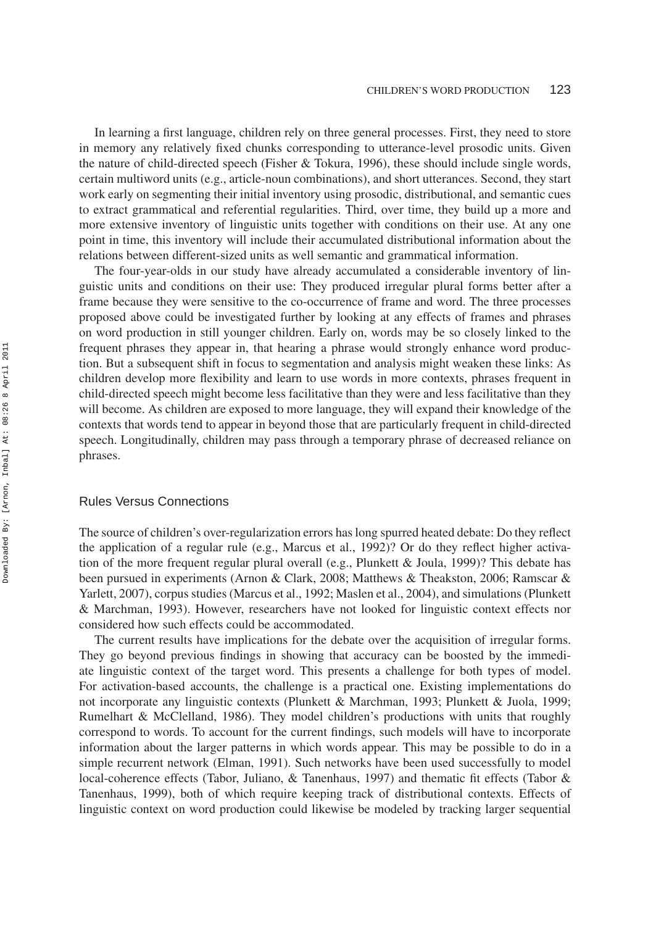In learning a first language, children rely on three general processes. First, they need to store in memory any relatively fixed chunks corresponding to utterance-level prosodic units. Given the nature of child-directed speech (Fisher & Tokura, 1996), these should include single words, certain multiword units (e.g., article-noun combinations), and short utterances. Second, they start work early on segmenting their initial inventory using prosodic, distributional, and semantic cues to extract grammatical and referential regularities. Third, over time, they build up a more and more extensive inventory of linguistic units together with conditions on their use. At any one point in time, this inventory will include their accumulated distributional information about the relations between different-sized units as well semantic and grammatical information.

The four-year-olds in our study have already accumulated a considerable inventory of linguistic units and conditions on their use: They produced irregular plural forms better after a frame because they were sensitive to the co-occurrence of frame and word. The three processes proposed above could be investigated further by looking at any effects of frames and phrases on word production in still younger children. Early on, words may be so closely linked to the frequent phrases they appear in, that hearing a phrase would strongly enhance word production. But a subsequent shift in focus to segmentation and analysis might weaken these links: As children develop more flexibility and learn to use words in more contexts, phrases frequent in child-directed speech might become less facilitative than they were and less facilitative than they will become. As children are exposed to more language, they will expand their knowledge of the contexts that words tend to appear in beyond those that are particularly frequent in child-directed speech. Longitudinally, children may pass through a temporary phrase of decreased reliance on phrases.

#### Rules Versus Connections

The source of children's over-regularization errors has long spurred heated debate: Do they reflect the application of a regular rule (e.g., Marcus et al., 1992)? Or do they reflect higher activation of the more frequent regular plural overall (e.g., Plunkett & Joula, 1999)? This debate has been pursued in experiments (Arnon & Clark, 2008; Matthews & Theakston, 2006; Ramscar & Yarlett, 2007), corpus studies (Marcus et al., 1992; Maslen et al., 2004), and simulations (Plunkett & Marchman, 1993). However, researchers have not looked for linguistic context effects nor considered how such effects could be accommodated.

The current results have implications for the debate over the acquisition of irregular forms. They go beyond previous findings in showing that accuracy can be boosted by the immediate linguistic context of the target word. This presents a challenge for both types of model. For activation-based accounts, the challenge is a practical one. Existing implementations do not incorporate any linguistic contexts (Plunkett & Marchman, 1993; Plunkett & Juola, 1999; Rumelhart & McClelland, 1986). They model children's productions with units that roughly correspond to words. To account for the current findings, such models will have to incorporate information about the larger patterns in which words appear. This may be possible to do in a simple recurrent network (Elman, 1991). Such networks have been used successfully to model local-coherence effects (Tabor, Juliano, & Tanenhaus, 1997) and thematic fit effects (Tabor & Tanenhaus, 1999), both of which require keeping track of distributional contexts. Effects of linguistic context on word production could likewise be modeled by tracking larger sequential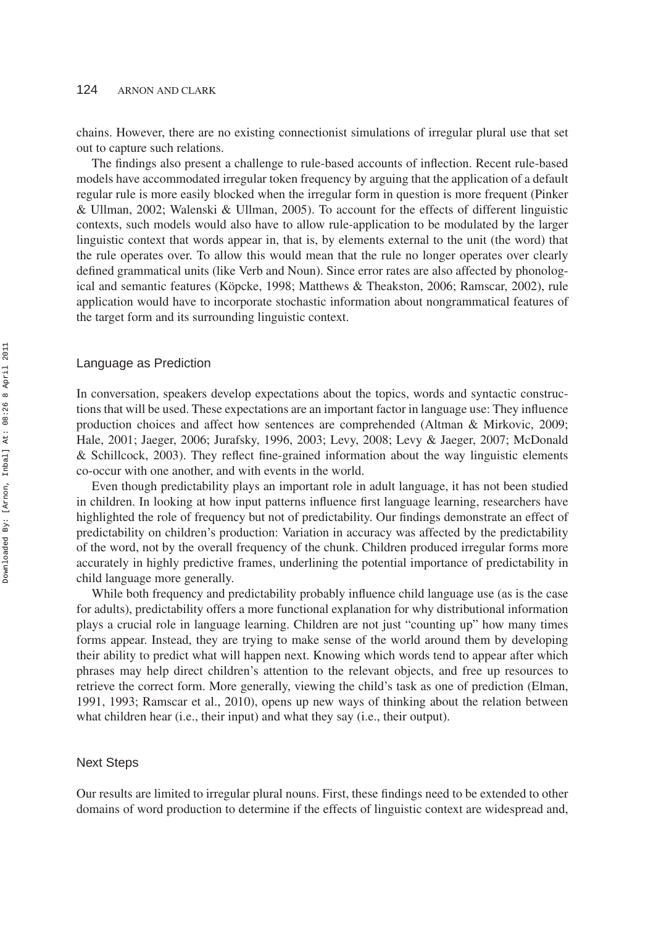chains. However, there are no existing connectionist simulations of irregular plural use that set out to capture such relations.

The findings also present a challenge to rule-based accounts of inflection. Recent rule-based models have accommodated irregular token frequency by arguing that the application of a default regular rule is more easily blocked when the irregular form in question is more frequent (Pinker & Ullman, 2002; Walenski & Ullman, 2005). To account for the effects of different linguistic contexts, such models would also have to allow rule-application to be modulated by the larger linguistic context that words appear in, that is, by elements external to the unit (the word) that the rule operates over. To allow this would mean that the rule no longer operates over clearly defined grammatical units (like Verb and Noun). Since error rates are also affected by phonological and semantic features (Köpcke, 1998; Matthews & Theakston, 2006; Ramscar, 2002), rule application would have to incorporate stochastic information about nongrammatical features of the target form and its surrounding linguistic context.

#### Language as Prediction

In conversation, speakers develop expectations about the topics, words and syntactic constructions that will be used. These expectations are an important factor in language use: They influence production choices and affect how sentences are comprehended (Altman & Mirkovic, 2009; Hale, 2001; Jaeger, 2006; Jurafsky, 1996, 2003; Levy, 2008; Levy & Jaeger, 2007; McDonald & Schillcock, 2003). They reflect fine-grained information about the way linguistic elements co-occur with one another, and with events in the world.

Even though predictability plays an important role in adult language, it has not been studied in children. In looking at how input patterns influence first language learning, researchers have highlighted the role of frequency but not of predictability. Our findings demonstrate an effect of predictability on children's production: Variation in accuracy was affected by the predictability of the word, not by the overall frequency of the chunk. Children produced irregular forms more accurately in highly predictive frames, underlining the potential importance of predictability in child language more generally.

While both frequency and predictability probably influence child language use (as is the case for adults), predictability offers a more functional explanation for why distributional information plays a crucial role in language learning. Children are not just "counting up" how many times forms appear. Instead, they are trying to make sense of the world around them by developing their ability to predict what will happen next. Knowing which words tend to appear after which phrases may help direct children's attention to the relevant objects, and free up resources to retrieve the correct form. More generally, viewing the child's task as one of prediction (Elman, 1991, 1993; Ramscar et al., 2010), opens up new ways of thinking about the relation between what children hear (i.e., their input) and what they say (i.e., their output).

## Next Steps

Our results are limited to irregular plural nouns. First, these findings need to be extended to other domains of word production to determine if the effects of linguistic context are widespread and,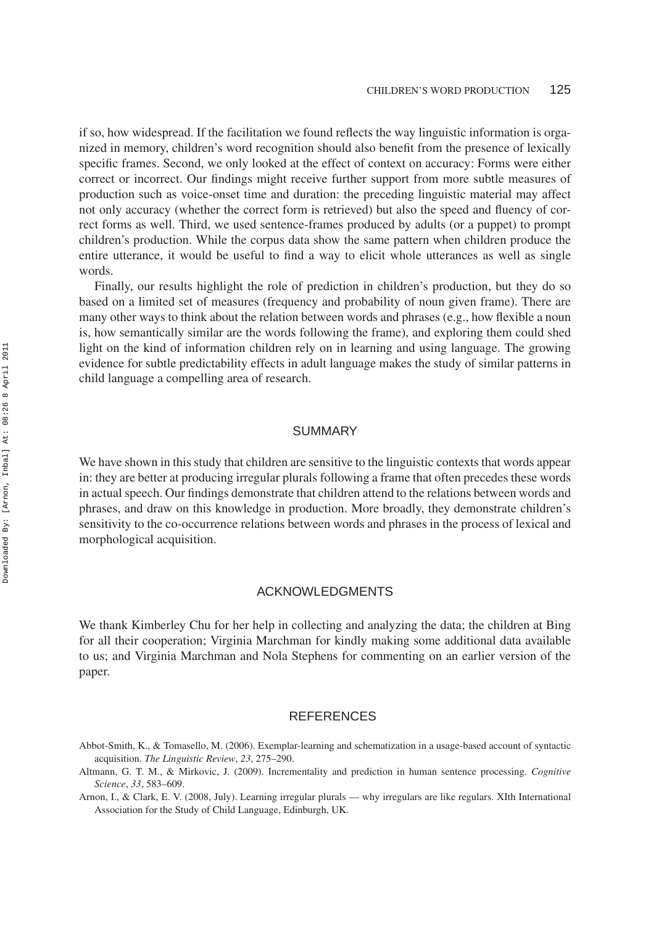if so, how widespread. If the facilitation we found reflects the way linguistic information is organized in memory, children's word recognition should also benefit from the presence of lexically specific frames. Second, we only looked at the effect of context on accuracy: Forms were either correct or incorrect. Our findings might receive further support from more subtle measures of production such as voice-onset time and duration: the preceding linguistic material may affect not only accuracy (whether the correct form is retrieved) but also the speed and fluency of correct forms as well. Third, we used sentence-frames produced by adults (or a puppet) to prompt children's production. While the corpus data show the same pattern when children produce the entire utterance, it would be useful to find a way to elicit whole utterances as well as single words.

Finally, our results highlight the role of prediction in children's production, but they do so based on a limited set of measures (frequency and probability of noun given frame). There are many other ways to think about the relation between words and phrases (e.g., how flexible a noun is, how semantically similar are the words following the frame), and exploring them could shed light on the kind of information children rely on in learning and using language. The growing evidence for subtle predictability effects in adult language makes the study of similar patterns in child language a compelling area of research.

## SUMMARY

We have shown in this study that children are sensitive to the linguistic contexts that words appear in: they are better at producing irregular plurals following a frame that often precedes these words in actual speech. Our findings demonstrate that children attend to the relations between words and phrases, and draw on this knowledge in production. More broadly, they demonstrate children's sensitivity to the co-occurrence relations between words and phrases in the process of lexical and morphological acquisition.

## ACKNOWLEDGMENTS

We thank Kimberley Chu for her help in collecting and analyzing the data; the children at Bing for all their cooperation; Virginia Marchman for kindly making some additional data available to us; and Virginia Marchman and Nola Stephens for commenting on an earlier version of the paper.

## REFERENCES

Abbot-Smith, K., & Tomasello, M. (2006). Exemplar-learning and schematization in a usage-based account of syntactic acquisition. *The Linguistic Review*, *23*, 275–290.

Arnon, I., & Clark, E. V. (2008, July). Learning irregular plurals — why irregulars are like regulars. XIth International Association for the Study of Child Language, Edinburgh, UK.

Altmann, G. T. M., & Mirkovic, J. (2009). Incrementality and prediction in human sentence processing. *Cognitive Science*, *33*, 583–609.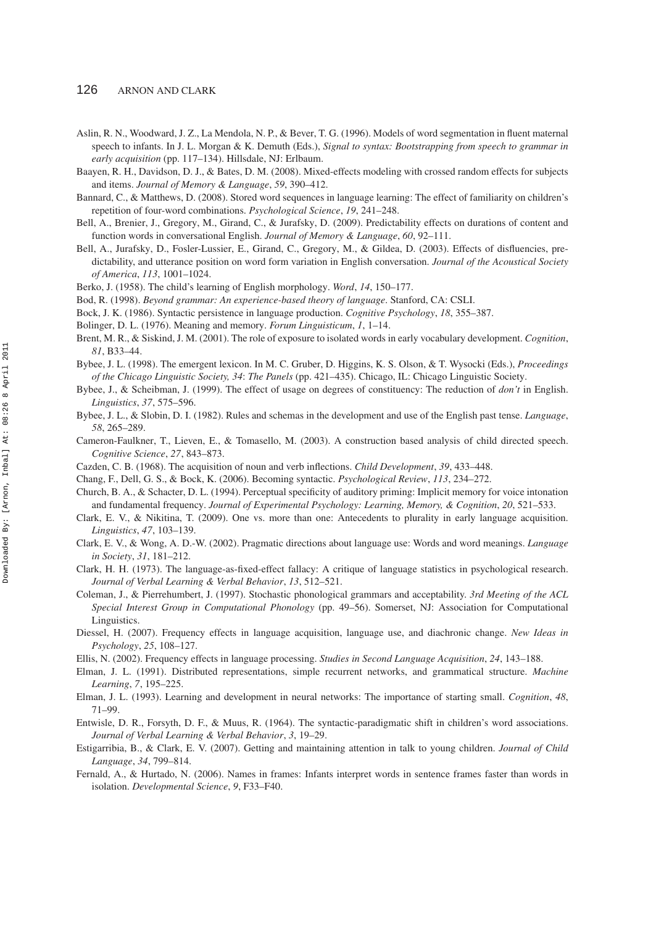- Aslin, R. N., Woodward, J. Z., La Mendola, N. P., & Bever, T. G. (1996). Models of word segmentation in fluent maternal speech to infants. In J. L. Morgan & K. Demuth (Eds.), *Signal to syntax: Bootstrapping from speech to grammar in early acquisition* (pp. 117–134). Hillsdale, NJ: Erlbaum.
- Baayen, R. H., Davidson, D. J., & Bates, D. M. (2008). Mixed-effects modeling with crossed random effects for subjects and items. *Journal of Memory & Language*, *59*, 390–412.
- Bannard, C., & Matthews, D. (2008). Stored word sequences in language learning: The effect of familiarity on children's repetition of four-word combinations. *Psychological Science*, *19*, 241–248.
- Bell, A., Brenier, J., Gregory, M., Girand, C., & Jurafsky, D. (2009). Predictability effects on durations of content and function words in conversational English. *Journal of Memory & Language*, *60*, 92–111.
- Bell, A., Jurafsky, D., Fosler-Lussier, E., Girand, C., Gregory, M., & Gildea, D. (2003). Effects of disfluencies, predictability, and utterance position on word form variation in English conversation. *Journal of the Acoustical Society of America*, *113*, 1001–1024.
- Berko, J. (1958). The child's learning of English morphology. *Word*, *14*, 150–177.
- Bod, R. (1998). *Beyond grammar: An experience-based theory of language*. Stanford, CA: CSLI.
- Bock, J. K. (1986). Syntactic persistence in language production. *Cognitive Psychology*, *18*, 355–387.
- Bolinger, D. L. (1976). Meaning and memory. *Forum Linguisticum*, *1*, 1–14.
- Brent, M. R., & Siskind, J. M. (2001). The role of exposure to isolated words in early vocabulary development. *Cognition*, *81*, B33–44.
- Bybee, J. L. (1998). The emergent lexicon. In M. C. Gruber, D. Higgins, K. S. Olson, & T. Wysocki (Eds.), *Proceedings of the Chicago Linguistic Society, 34*: *The Panels* (pp. 421–435). Chicago, IL: Chicago Linguistic Society.
- Bybee, J., & Scheibman, J. (1999). The effect of usage on degrees of constituency: The reduction of *don't* in English. *Linguistics*, *37*, 575–596.
- Bybee, J. L., & Slobin, D. I. (1982). Rules and schemas in the development and use of the English past tense. *Language*, *58*, 265–289.
- Cameron-Faulkner, T., Lieven, E., & Tomasello, M. (2003). A construction based analysis of child directed speech. *Cognitive Science*, *27*, 843–873.
- Cazden, C. B. (1968). The acquisition of noun and verb inflections. *Child Development*, *39*, 433–448.
- Chang, F., Dell, G. S., & Bock, K. (2006). Becoming syntactic. *Psychological Review*, *113*, 234–272.
- Church, B. A., & Schacter, D. L. (1994). Perceptual specificity of auditory priming: Implicit memory for voice intonation and fundamental frequency. *Journal of Experimental Psychology: Learning, Memory, & Cognition*, *20*, 521–533.
- Clark, E. V., & Nikitina, T. (2009). One vs. more than one: Antecedents to plurality in early language acquisition. *Linguistics*, *47*, 103–139.
- Clark, E. V., & Wong, A. D.-W. (2002). Pragmatic directions about language use: Words and word meanings. *Language in Society*, *31*, 181–212.
- Clark, H. H. (1973). The language-as-fixed-effect fallacy: A critique of language statistics in psychological research. *Journal of Verbal Learning & Verbal Behavior*, *13*, 512–521.
- Coleman, J., & Pierrehumbert, J. (1997). Stochastic phonological grammars and acceptability. *3rd Meeting of the ACL Special Interest Group in Computational Phonology* (pp. 49–56). Somerset, NJ: Association for Computational Linguistics.
- Diessel, H. (2007). Frequency effects in language acquisition, language use, and diachronic change. *New Ideas in Psychology*, *25*, 108–127.
- Ellis, N. (2002). Frequency effects in language processing. *Studies in Second Language Acquisition*, *24*, 143–188.
- Elman, J. L. (1991). Distributed representations, simple recurrent networks, and grammatical structure. *Machine Learning*, *7*, 195–225.
- Elman, J. L. (1993). Learning and development in neural networks: The importance of starting small. *Cognition*, *48*, 71–99.
- Entwisle, D. R., Forsyth, D. F., & Muus, R. (1964). The syntactic-paradigmatic shift in children's word associations. *Journal of Verbal Learning & Verbal Behavior*, *3*, 19–29.
- Estigarribia, B., & Clark, E. V. (2007). Getting and maintaining attention in talk to young children. *Journal of Child Language*, *34*, 799–814.
- Fernald, A., & Hurtado, N. (2006). Names in frames: Infants interpret words in sentence frames faster than words in isolation. *Developmental Science*, *9*, F33–F40.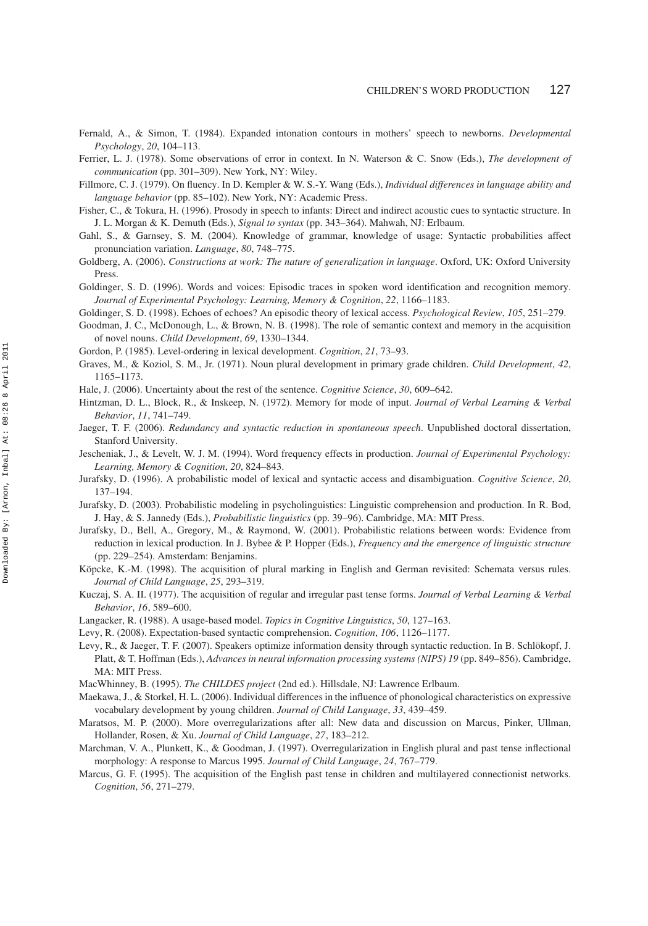- Fernald, A., & Simon, T. (1984). Expanded intonation contours in mothers' speech to newborns. *Developmental Psychology*, *20*, 104–113.
- Ferrier, L. J. (1978). Some observations of error in context. In N. Waterson & C. Snow (Eds.), *The development of communication* (pp. 301–309). New York, NY: Wiley.
- Fillmore, C. J. (1979). On fluency. In D. Kempler & W. S.-Y. Wang (Eds.), *Individual differences in language ability and language behavior* (pp. 85–102). New York, NY: Academic Press.
- Fisher, C., & Tokura, H. (1996). Prosody in speech to infants: Direct and indirect acoustic cues to syntactic structure. In J. L. Morgan & K. Demuth (Eds.), *Signal to syntax* (pp. 343–364). Mahwah, NJ: Erlbaum.
- Gahl, S., & Garnsey, S. M. (2004). Knowledge of grammar, knowledge of usage: Syntactic probabilities affect pronunciation variation. *Language*, *80*, 748–775.
- Goldberg, A. (2006). *Constructions at work: The nature of generalization in language*. Oxford, UK: Oxford University Press.
- Goldinger, S. D. (1996). Words and voices: Episodic traces in spoken word identification and recognition memory. *Journal of Experimental Psychology: Learning, Memory & Cognition*, *22*, 1166–1183.
- Goldinger, S. D. (1998). Echoes of echoes? An episodic theory of lexical access. *Psychological Review*, *105*, 251–279.
- Goodman, J. C., McDonough, L., & Brown, N. B. (1998). The role of semantic context and memory in the acquisition of novel nouns. *Child Development*, *69*, 1330–1344.
- Gordon, P. (1985). Level-ordering in lexical development. *Cognition*, *21*, 73–93.
- Graves, M., & Koziol, S. M., Jr. (1971). Noun plural development in primary grade children. *Child Development*, *42*, 1165–1173.
- Hale, J. (2006). Uncertainty about the rest of the sentence. *Cognitive Science*, *30*, 609–642.
- Hintzman, D. L., Block, R., & Inskeep, N. (1972). Memory for mode of input. *Journal of Verbal Learning & Verbal Behavior*, *11*, 741–749.
- Jaeger, T. F. (2006). *Redundancy and syntactic reduction in spontaneous speech*. Unpublished doctoral dissertation, Stanford University.
- Jescheniak, J., & Levelt, W. J. M. (1994). Word frequency effects in production. *Journal of Experimental Psychology: Learning, Memory & Cognition*, *20*, 824–843.
- Jurafsky, D. (1996). A probabilistic model of lexical and syntactic access and disambiguation. *Cognitive Science*, *20*, 137–194.
- Jurafsky, D. (2003). Probabilistic modeling in psycholinguistics: Linguistic comprehension and production. In R. Bod, J. Hay, & S. Jannedy (Eds.), *Probabilistic linguistics* (pp. 39–96). Cambridge, MA: MIT Press.
- Jurafsky, D., Bell, A., Gregory, M., & Raymond, W. (2001). Probabilistic relations between words: Evidence from reduction in lexical production. In J. Bybee & P. Hopper (Eds.), *Frequency and the emergence of linguistic structure* (pp. 229–254). Amsterdam: Benjamins.
- Köpcke, K.-M. (1998). The acquisition of plural marking in English and German revisited: Schemata versus rules. *Journal of Child Language*, *25*, 293–319.
- Kuczaj, S. A. II. (1977). The acquisition of regular and irregular past tense forms. *Journal of Verbal Learning & Verbal Behavior*, *16*, 589–600.
- Langacker, R. (1988). A usage-based model. *Topics in Cognitive Linguistics*, *50*, 127–163.
- Levy, R. (2008). Expectation-based syntactic comprehension. *Cognition*, *106*, 1126–1177.
- Levy, R., & Jaeger, T. F. (2007). Speakers optimize information density through syntactic reduction. In B. Schlökopf, J. Platt, & T. Hoffman (Eds.), *Advances in neural information processing systems (NIPS) 19* (pp. 849–856). Cambridge, MA: MIT Press.
- MacWhinney, B. (1995). *The CHILDES project* (2nd ed.). Hillsdale, NJ: Lawrence Erlbaum.
- Maekawa, J., & Storkel, H. L. (2006). Individual differences in the influence of phonological characteristics on expressive vocabulary development by young children. *Journal of Child Language*, *33*, 439–459.
- Maratsos, M. P. (2000). More overregularizations after all: New data and discussion on Marcus, Pinker, Ullman, Hollander, Rosen, & Xu. *Journal of Child Language*, *27*, 183–212.
- Marchman, V. A., Plunkett, K., & Goodman, J. (1997). Overregularization in English plural and past tense inflectional morphology: A response to Marcus 1995. *Journal of Child Language*, *24*, 767–779.
- Marcus, G. F. (1995). The acquisition of the English past tense in children and multilayered connectionist networks. *Cognition*, *56*, 271–279.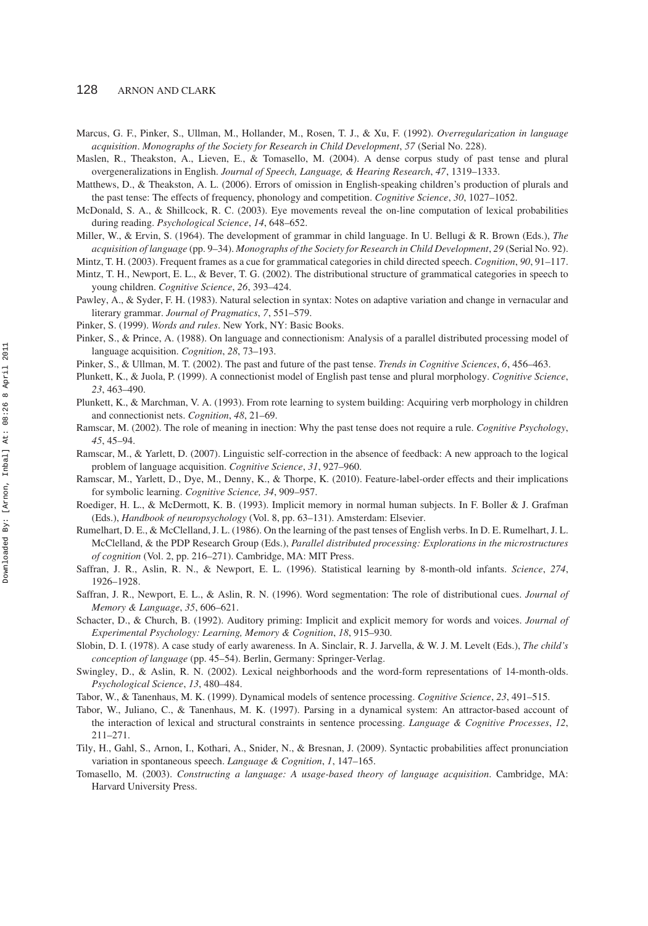Marcus, G. F., Pinker, S., Ullman, M., Hollander, M., Rosen, T. J., & Xu, F. (1992). *Overregularization in language acquisition*. *Monographs of the Society for Research in Child Development*, *57* (Serial No. 228).

Maslen, R., Theakston, A., Lieven, E., & Tomasello, M. (2004). A dense corpus study of past tense and plural overgeneralizations in English. *Journal of Speech, Language, & Hearing Research*, *47*, 1319–1333.

Matthews, D., & Theakston, A. L. (2006). Errors of omission in English-speaking children's production of plurals and the past tense: The effects of frequency, phonology and competition. *Cognitive Science*, *30*, 1027–1052.

- McDonald, S. A., & Shillcock, R. C. (2003). Eye movements reveal the on-line computation of lexical probabilities during reading. *Psychological Science*, *14*, 648–652.
- Miller, W., & Ervin, S. (1964). The development of grammar in child language. In U. Bellugi & R. Brown (Eds.), *The acquisition of language* (pp. 9–34). *Monographs of the Society for Research in Child Development*, *29* (Serial No. 92).

Mintz, T. H. (2003). Frequent frames as a cue for grammatical categories in child directed speech. *Cognition*, *90*, 91–117.

- Mintz, T. H., Newport, E. L., & Bever, T. G. (2002). The distributional structure of grammatical categories in speech to young children. *Cognitive Science*, *26*, 393–424.
- Pawley, A., & Syder, F. H. (1983). Natural selection in syntax: Notes on adaptive variation and change in vernacular and literary grammar. *Journal of Pragmatics*, *7*, 551–579.
- Pinker, S. (1999). *Words and rules*. New York, NY: Basic Books.
- Pinker, S., & Prince, A. (1988). On language and connectionism: Analysis of a parallel distributed processing model of language acquisition. *Cognition*, *28*, 73–193.
- Pinker, S., & Ullman, M. T. (2002). The past and future of the past tense. *Trends in Cognitive Sciences*, *6*, 456–463.
- Plunkett, K., & Juola, P. (1999). A connectionist model of English past tense and plural morphology. *Cognitive Science*, *23*, 463–490.
- Plunkett, K., & Marchman, V. A. (1993). From rote learning to system building: Acquiring verb morphology in children and connectionist nets. *Cognition*, *48*, 21–69.
- Ramscar, M. (2002). The role of meaning in inection: Why the past tense does not require a rule. *Cognitive Psychology*, *45*, 45–94.
- Ramscar, M., & Yarlett, D. (2007). Linguistic self-correction in the absence of feedback: A new approach to the logical problem of language acquisition. *Cognitive Science*, *31*, 927–960.
- Ramscar, M., Yarlett, D., Dye, M., Denny, K., & Thorpe, K. (2010). Feature-label-order effects and their implications for symbolic learning. *Cognitive Science, 34*, 909–957.
- Roediger, H. L., & McDermott, K. B. (1993). Implicit memory in normal human subjects. In F. Boller & J. Grafman (Eds.), *Handbook of neuropsychology* (Vol. 8, pp. 63–131). Amsterdam: Elsevier.
- Rumelhart, D. E., & McClelland, J. L. (1986). On the learning of the past tenses of English verbs. In D. E. Rumelhart, J. L. McClelland, & the PDP Research Group (Eds.), *Parallel distributed processing: Explorations in the microstructures of cognition* (Vol. 2, pp. 216–271). Cambridge, MA: MIT Press.
- Saffran, J. R., Aslin, R. N., & Newport, E. L. (1996). Statistical learning by 8-month-old infants. *Science*, *274*, 1926–1928.
- Saffran, J. R., Newport, E. L., & Aslin, R. N. (1996). Word segmentation: The role of distributional cues. *Journal of Memory & Language*, *35*, 606–621.
- Schacter, D., & Church, B. (1992). Auditory priming: Implicit and explicit memory for words and voices. *Journal of Experimental Psychology: Learning, Memory & Cognition*, *18*, 915–930.
- Slobin, D. I. (1978). A case study of early awareness. In A. Sinclair, R. J. Jarvella, & W. J. M. Levelt (Eds.), *The child's conception of language* (pp. 45–54). Berlin, Germany: Springer-Verlag.
- Swingley, D., & Aslin, R. N. (2002). Lexical neighborhoods and the word-form representations of 14-month-olds. *Psychological Science*, *13*, 480–484.
- Tabor, W., & Tanenhaus, M. K. (1999). Dynamical models of sentence processing. *Cognitive Science*, *23*, 491–515.
- Tabor, W., Juliano, C., & Tanenhaus, M. K. (1997). Parsing in a dynamical system: An attractor-based account of the interaction of lexical and structural constraints in sentence processing. *Language & Cognitive Processes*, *12*, 211–271.
- Tily, H., Gahl, S., Arnon, I., Kothari, A., Snider, N., & Bresnan, J. (2009). Syntactic probabilities affect pronunciation variation in spontaneous speech. *Language & Cognition*, *1*, 147–165.
- Tomasello, M. (2003). *Constructing a language: A usage-based theory of language acquisition*. Cambridge, MA: Harvard University Press.